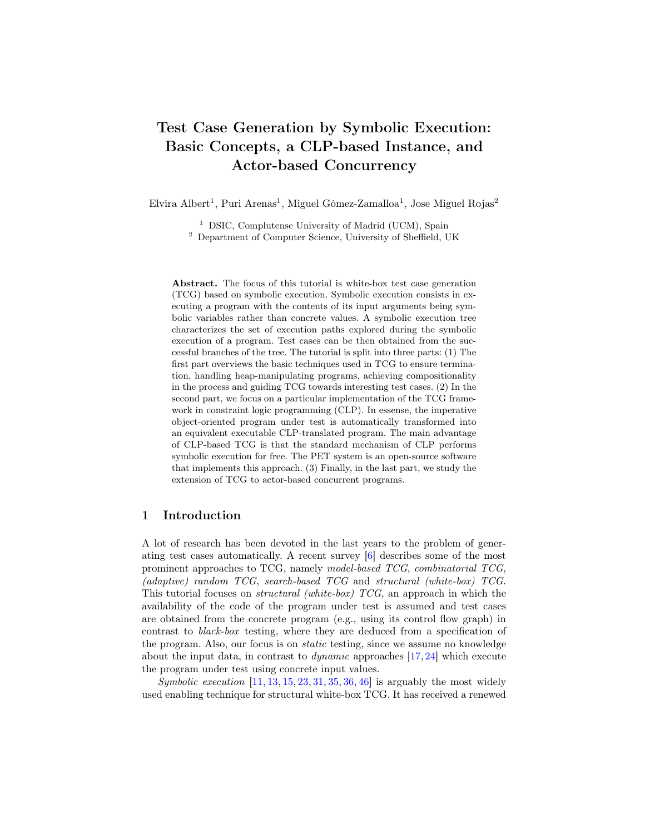# Test Case Generation by Symbolic Execution: Basic Concepts, a CLP-based Instance, and Actor-based Concurrency

Elvira Albert<sup>1</sup>, Puri Arenas<sup>1</sup>, Miguel Gómez-Zamalloa<sup>1</sup>, Jose Miguel Rojas<sup>2</sup>

<sup>1</sup> DSIC, Complutense University of Madrid (UCM), Spain <sup>2</sup> Department of Computer Science, University of Sheffield, UK

Abstract. The focus of this tutorial is white-box test case generation (TCG) based on symbolic execution. Symbolic execution consists in executing a program with the contents of its input arguments being symbolic variables rather than concrete values. A symbolic execution tree characterizes the set of execution paths explored during the symbolic execution of a program. Test cases can be then obtained from the successful branches of the tree. The tutorial is split into three parts: (1) The first part overviews the basic techniques used in TCG to ensure termination, handling heap-manipulating programs, achieving compositionality in the process and guiding TCG towards interesting test cases. (2) In the second part, we focus on a particular implementation of the TCG framework in constraint logic programming (CLP). In essense, the imperative object-oriented program under test is automatically transformed into an equivalent executable CLP-translated program. The main advantage of CLP-based TCG is that the standard mechanism of CLP performs symbolic execution for free. The PET system is an open-source software that implements this approach. (3) Finally, in the last part, we study the extension of TCG to actor-based concurrent programs.

# 1 Introduction

A lot of research has been devoted in the last years to the problem of generating test cases automatically. A recent survey [\[6\]](#page-44-0) describes some of the most prominent approaches to TCG, namely model-based TCG, combinatorial TCG, (adaptive) random TCG, search-based TCG and structural (white-box) TCG. This tutorial focuses on structural (white-box) TCG, an approach in which the availability of the code of the program under test is assumed and test cases are obtained from the concrete program (e.g., using its control flow graph) in contrast to black-box testing, where they are deduced from a specification of the program. Also, our focus is on static testing, since we assume no knowledge about the input data, in contrast to *dynamic* approaches  $[17, 24]$  $[17, 24]$  $[17, 24]$  which execute the program under test using concrete input values.

Symbolic execution  $[11, 13, 15, 23, 31, 35, 36, 46]$  $[11, 13, 15, 23, 31, 35, 36, 46]$  $[11, 13, 15, 23, 31, 35, 36, 46]$  $[11, 13, 15, 23, 31, 35, 36, 46]$  $[11, 13, 15, 23, 31, 35, 36, 46]$  $[11, 13, 15, 23, 31, 35, 36, 46]$  $[11, 13, 15, 23, 31, 35, 36, 46]$  $[11, 13, 15, 23, 31, 35, 36, 46]$  $[11, 13, 15, 23, 31, 35, 36, 46]$  $[11, 13, 15, 23, 31, 35, 36, 46]$  $[11, 13, 15, 23, 31, 35, 36, 46]$  $[11, 13, 15, 23, 31, 35, 36, 46]$  $[11, 13, 15, 23, 31, 35, 36, 46]$  $[11, 13, 15, 23, 31, 35, 36, 46]$  $[11, 13, 15, 23, 31, 35, 36, 46]$  is arguably the most widely used enabling technique for structural white-box TCG. It has received a renewed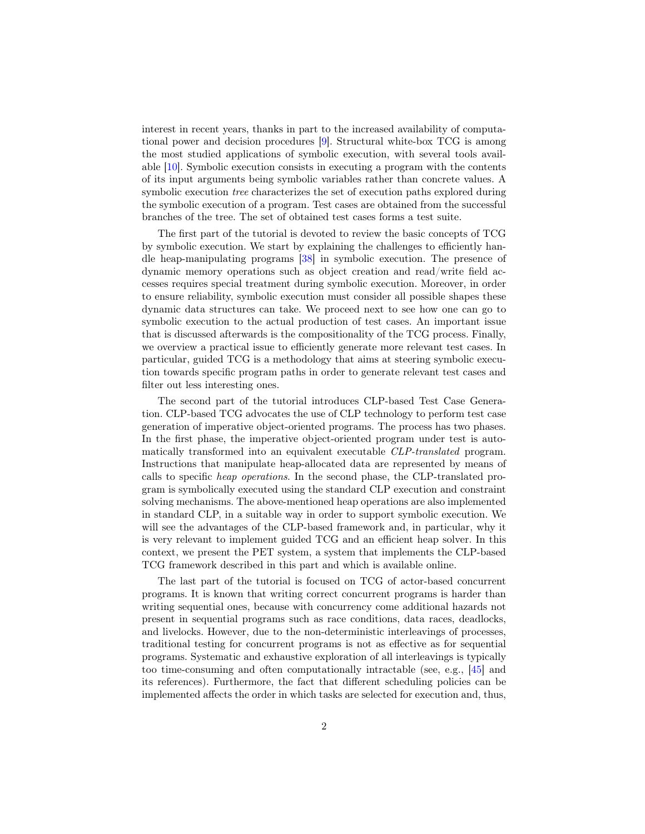interest in recent years, thanks in part to the increased availability of computational power and decision procedures [\[9\]](#page-44-2). Structural white-box TCG is among the most studied applications of symbolic execution, with several tools available [\[10\]](#page-44-3). Symbolic execution consists in executing a program with the contents of its input arguments being symbolic variables rather than concrete values. A symbolic execution tree characterizes the set of execution paths explored during the symbolic execution of a program. Test cases are obtained from the successful branches of the tree. The set of obtained test cases forms a test suite.

The first part of the tutorial is devoted to review the basic concepts of TCG by symbolic execution. We start by explaining the challenges to efficiently handle heap-manipulating programs [\[38\]](#page-46-3) in symbolic execution. The presence of dynamic memory operations such as object creation and read/write field accesses requires special treatment during symbolic execution. Moreover, in order to ensure reliability, symbolic execution must consider all possible shapes these dynamic data structures can take. We proceed next to see how one can go to symbolic execution to the actual production of test cases. An important issue that is discussed afterwards is the compositionality of the TCG process. Finally, we overview a practical issue to efficiently generate more relevant test cases. In particular, guided TCG is a methodology that aims at steering symbolic execution towards specific program paths in order to generate relevant test cases and filter out less interesting ones.

The second part of the tutorial introduces CLP-based Test Case Generation. CLP-based TCG advocates the use of CLP technology to perform test case generation of imperative object-oriented programs. The process has two phases. In the first phase, the imperative object-oriented program under test is automatically transformed into an equivalent executable CLP-translated program. Instructions that manipulate heap-allocated data are represented by means of calls to specific heap operations. In the second phase, the CLP-translated program is symbolically executed using the standard CLP execution and constraint solving mechanisms. The above-mentioned heap operations are also implemented in standard CLP, in a suitable way in order to support symbolic execution. We will see the advantages of the CLP-based framework and, in particular, why it is very relevant to implement guided TCG and an efficient heap solver. In this context, we present the PET system, a system that implements the CLP-based TCG framework described in this part and which is available online.

The last part of the tutorial is focused on TCG of actor-based concurrent programs. It is known that writing correct concurrent programs is harder than writing sequential ones, because with concurrency come additional hazards not present in sequential programs such as race conditions, data races, deadlocks, and livelocks. However, due to the non-deterministic interleavings of processes, traditional testing for concurrent programs is not as effective as for sequential programs. Systematic and exhaustive exploration of all interleavings is typically too time-consuming and often computationally intractable (see, e.g., [\[45\]](#page-46-4) and its references). Furthermore, the fact that different scheduling policies can be implemented affects the order in which tasks are selected for execution and, thus,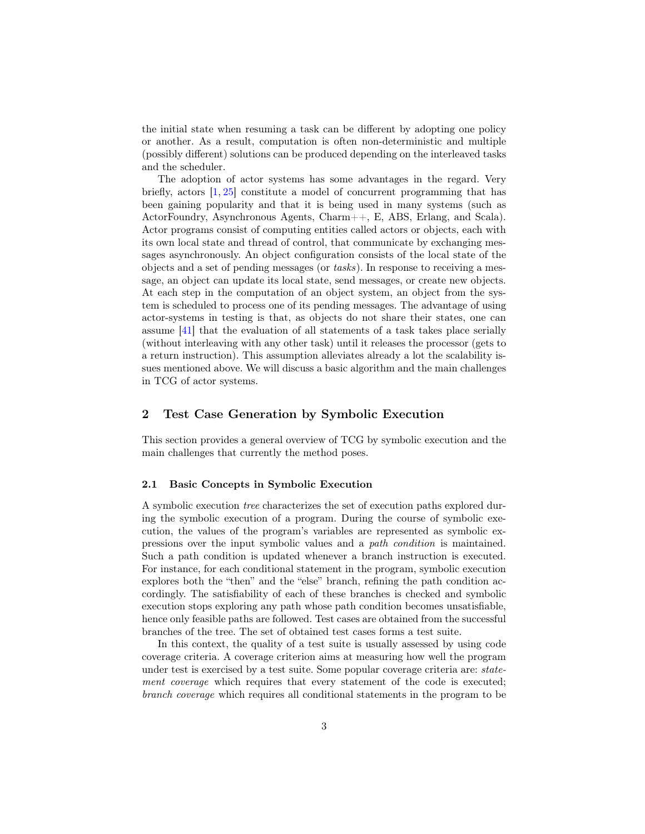the initial state when resuming a task can be different by adopting one policy or another. As a result, computation is often non-deterministic and multiple (possibly different) solutions can be produced depending on the interleaved tasks and the scheduler.

The adoption of actor systems has some advantages in the regard. Very briefly, actors [\[1,](#page-44-4) [25\]](#page-45-6) constitute a model of concurrent programming that has been gaining popularity and that it is being used in many systems (such as ActorFoundry, Asynchronous Agents, Charm++, E, ABS, Erlang, and Scala). Actor programs consist of computing entities called actors or objects, each with its own local state and thread of control, that communicate by exchanging messages asynchronously. An object configuration consists of the local state of the objects and a set of pending messages (or tasks). In response to receiving a message, an object can update its local state, send messages, or create new objects. At each step in the computation of an object system, an object from the system is scheduled to process one of its pending messages. The advantage of using actor-systems in testing is that, as objects do not share their states, one can assume [\[41\]](#page-46-5) that the evaluation of all statements of a task takes place serially (without interleaving with any other task) until it releases the processor (gets to a return instruction). This assumption alleviates already a lot the scalability issues mentioned above. We will discuss a basic algorithm and the main challenges in TCG of actor systems.

# 2 Test Case Generation by Symbolic Execution

This section provides a general overview of TCG by symbolic execution and the main challenges that currently the method poses.

#### <span id="page-2-0"></span>2.1 Basic Concepts in Symbolic Execution

A symbolic execution tree characterizes the set of execution paths explored during the symbolic execution of a program. During the course of symbolic execution, the values of the program's variables are represented as symbolic expressions over the input symbolic values and a path condition is maintained. Such a path condition is updated whenever a branch instruction is executed. For instance, for each conditional statement in the program, symbolic execution explores both the "then" and the "else" branch, refining the path condition accordingly. The satisfiability of each of these branches is checked and symbolic execution stops exploring any path whose path condition becomes unsatisfiable, hence only feasible paths are followed. Test cases are obtained from the successful branches of the tree. The set of obtained test cases forms a test suite.

In this context, the quality of a test suite is usually assessed by using code coverage criteria. A coverage criterion aims at measuring how well the program under test is exercised by a test suite. Some popular coverage criteria are: statement coverage which requires that every statement of the code is executed; branch coverage which requires all conditional statements in the program to be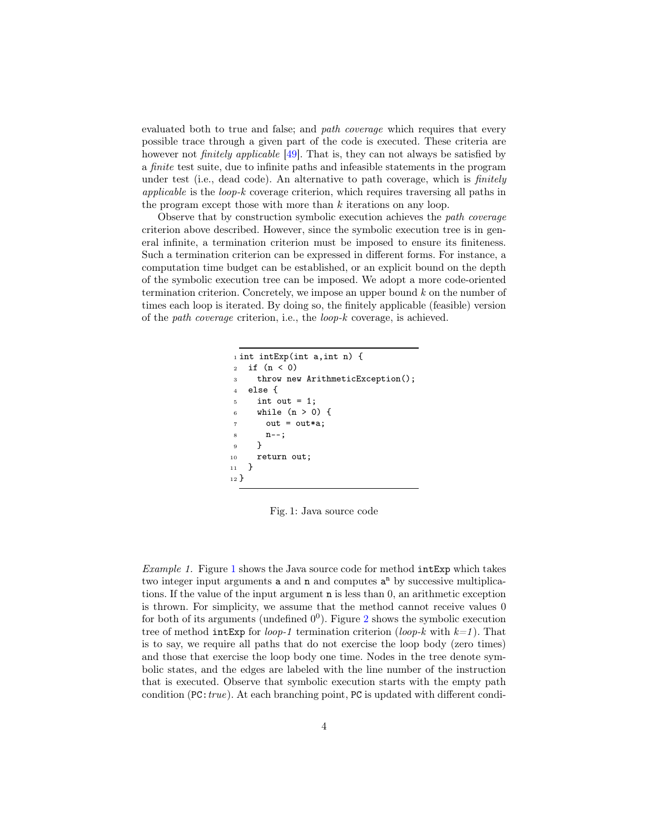evaluated both to true and false; and *path coverage* which requires that every possible trace through a given part of the code is executed. These criteria are however not *finitely applicable* [\[49\]](#page-46-6). That is, they can not always be satisfied by a finite test suite, due to infinite paths and infeasible statements in the program under test (i.e., dead code). An alternative to path coverage, which is finitely applicable is the loop-k coverage criterion, which requires traversing all paths in the program except those with more than k iterations on any loop.

Observe that by construction symbolic execution achieves the path coverage criterion above described. However, since the symbolic execution tree is in general infinite, a termination criterion must be imposed to ensure its finiteness. Such a termination criterion can be expressed in different forms. For instance, a computation time budget can be established, or an explicit bound on the depth of the symbolic execution tree can be imposed. We adopt a more code-oriented termination criterion. Concretely, we impose an upper bound  $k$  on the number of times each loop is iterated. By doing so, the finitely applicable (feasible) version of the path coverage criterion, i.e., the  $loop-k$  coverage, is achieved.

```
1 int intExp(int a, int n) {
2 if (n < 0)3 throw new ArithmeticException();
4 else {
5 int out = 1;
6 while (n > 0) {
7 out = out*a;
8 \t n--9 }
10 return out;
11 }
12 }
```
Fig. 1: Java source code

Example 1. Figure [1](#page-3-0) shows the Java source code for method intExp which takes two integer input arguments  $a$  and  $n$  and computes  $a<sup>n</sup>$  by successive multiplications. If the value of the input argument n is less than 0, an arithmetic exception is thrown. For simplicity, we assume that the method cannot receive values 0 for both of its arguments (undefined  $0^0$ ). Figure [2](#page-4-0) shows the symbolic execution tree of method intExp for *loop-1* termination criterion (*loop-k* with  $k=1$ ). That is to say, we require all paths that do not exercise the loop body (zero times) and those that exercise the loop body one time. Nodes in the tree denote symbolic states, and the edges are labeled with the line number of the instruction that is executed. Observe that symbolic execution starts with the empty path condition  $(PC:true)$ . At each branching point, PC is updated with different condi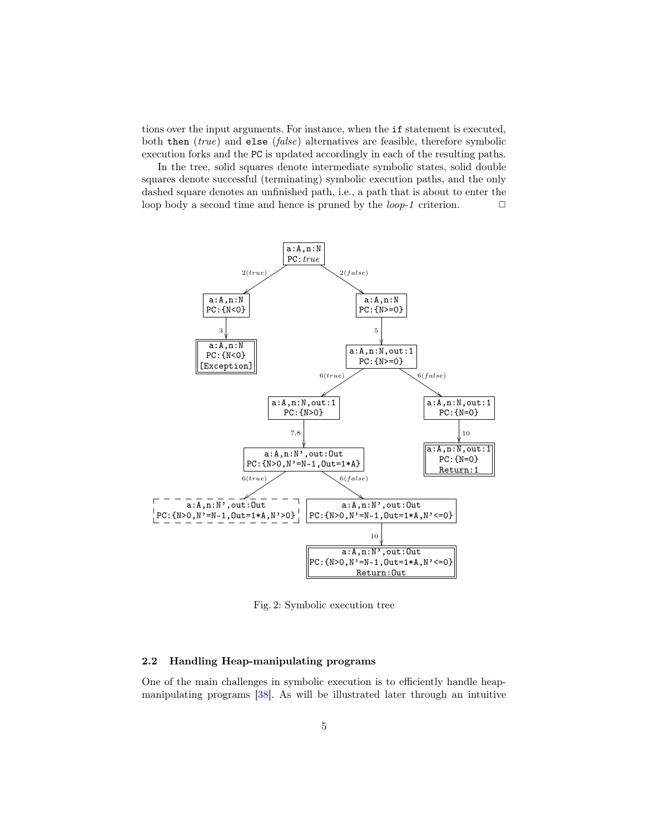tions over the input arguments. For instance, when the if statement is executed, both then (true) and else (false) alternatives are feasible, therefore symbolic execution forks and the PC is updated accordingly in each of the resulting paths.

In the tree, solid squares denote intermediate symbolic states, solid double squares denote successful (terminating) symbolic execution paths, and the only dashed square denotes an unfinished path, i.e., a path that is about to enter the loop body a second time and hence is pruned by the *loop-1* criterion.  $\Box$ 

<span id="page-4-0"></span>

Fig. 2: Symbolic execution tree

### 2.2 Handling Heap-manipulating programs

One of the main challenges in symbolic execution is to efficiently handle heapmanipulating programs [\[38\]](#page-46-3). As will be illustrated later through an intuitive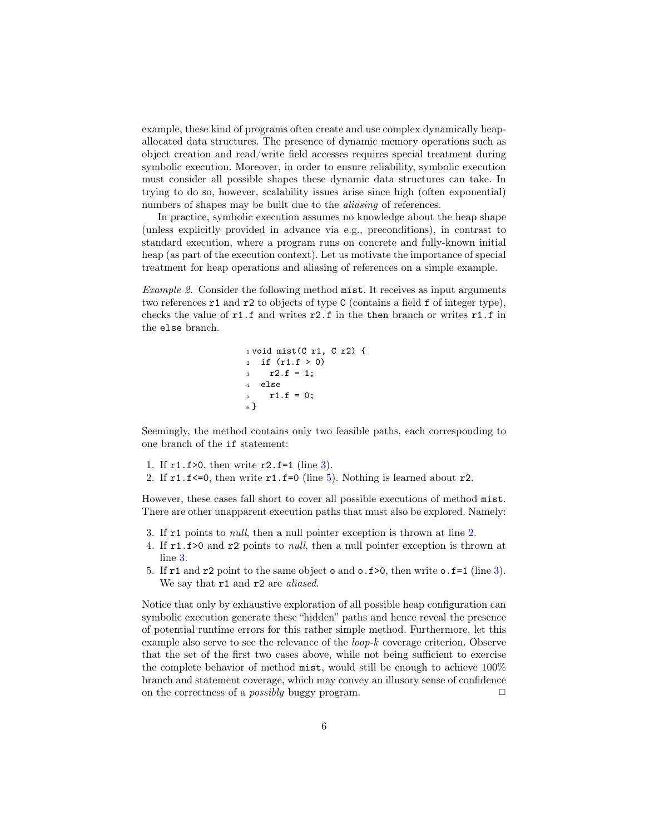example, these kind of programs often create and use complex dynamically heapallocated data structures. The presence of dynamic memory operations such as object creation and read/write field accesses requires special treatment during symbolic execution. Moreover, in order to ensure reliability, symbolic execution must consider all possible shapes these dynamic data structures can take. In trying to do so, however, scalability issues arise since high (often exponential) numbers of shapes may be built due to the *aliasing* of references.

In practice, symbolic execution assumes no knowledge about the heap shape (unless explicitly provided in advance via e.g., preconditions), in contrast to standard execution, where a program runs on concrete and fully-known initial heap (as part of the execution context). Let us motivate the importance of special treatment for heap operations and aliasing of references on a simple example.

<span id="page-5-3"></span>Example 2. Consider the following method mist. It receives as input arguments two references  $r1$  and  $r2$  to objects of type C (contains a field f of integer type), checks the value of  $r1.f$  and writes  $r2.f$  in the then branch or writes  $r1.f$  in the else branch.

```
1 void mist(C r1, C r2) {
2 if (r1.f > 0)x^2. f = 1;
4 else
5 r1.f = 0;
6 }
```
Seemingly, the method contains only two feasible paths, each corresponding to one branch of the if statement:

- 1. If  $r1.f>0$ , then write  $r2.f=1$  (line [3\)](#page-5-0).
- 2. If  $r1.f \le 0$ , then write  $r1.f = 0$  (line [5\)](#page-5-1). Nothing is learned about  $r2$ .

However, these cases fall short to cover all possible executions of method mist. There are other unapparent execution paths that must also be explored. Namely:

- 3. If r1 points to null, then a null pointer exception is thrown at line [2.](#page-5-2)
- 4. If r1.f>0 and r2 points to null, then a null pointer exception is thrown at line [3.](#page-5-0)
- 5. If  $r1$  and  $r2$  point to the same object o and o.f>0, then write o.f=1 (line [3\)](#page-5-0). We say that r1 and r2 are *aliased*.

Notice that only by exhaustive exploration of all possible heap configuration can symbolic execution generate these "hidden" paths and hence reveal the presence of potential runtime errors for this rather simple method. Furthermore, let this example also serve to see the relevance of the  $loop-k$  coverage criterion. Observe that the set of the first two cases above, while not being sufficient to exercise the complete behavior of method mist, would still be enough to achieve 100% branch and statement coverage, which may convey an illusory sense of confidence on the correctness of a *possibly* buggy program.  $\Box$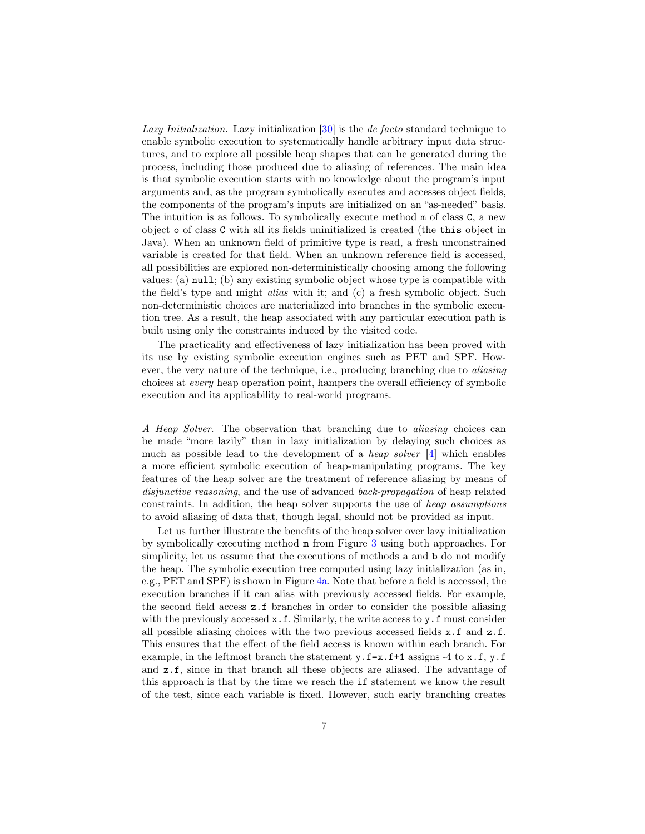Lazy Initialization. Lazy initialization [\[30\]](#page-45-7) is the *de facto* standard technique to enable symbolic execution to systematically handle arbitrary input data structures, and to explore all possible heap shapes that can be generated during the process, including those produced due to aliasing of references. The main idea is that symbolic execution starts with no knowledge about the program's input arguments and, as the program symbolically executes and accesses object fields, the components of the program's inputs are initialized on an "as-needed" basis. The intuition is as follows. To symbolically execute method m of class C, a new object o of class C with all its fields uninitialized is created (the this object in Java). When an unknown field of primitive type is read, a fresh unconstrained variable is created for that field. When an unknown reference field is accessed, all possibilities are explored non-deterministically choosing among the following values: (a) null; (b) any existing symbolic object whose type is compatible with the field's type and might alias with it; and (c) a fresh symbolic object. Such non-deterministic choices are materialized into branches in the symbolic execution tree. As a result, the heap associated with any particular execution path is built using only the constraints induced by the visited code.

The practicality and effectiveness of lazy initialization has been proved with its use by existing symbolic execution engines such as PET and SPF. However, the very nature of the technique, i.e., producing branching due to aliasing choices at every heap operation point, hampers the overall efficiency of symbolic execution and its applicability to real-world programs.

A Heap Solver. The observation that branching due to aliasing choices can be made "more lazily" than in lazy initialization by delaying such choices as much as possible lead to the development of a heap solver [\[4\]](#page-44-5) which enables a more efficient symbolic execution of heap-manipulating programs. The key features of the heap solver are the treatment of reference aliasing by means of disjunctive reasoning, and the use of advanced back-propagation of heap related constraints. In addition, the heap solver supports the use of heap assumptions to avoid aliasing of data that, though legal, should not be provided as input.

Let us further illustrate the benefits of the heap solver over lazy initialization by symbolically executing method m from Figure [3](#page-7-0) using both approaches. For simplicity, let us assume that the executions of methods a and b do not modify the heap. The symbolic execution tree computed using lazy initialization (as in, e.g., PET and SPF) is shown in Figure [4a.](#page-7-1) Note that before a field is accessed, the execution branches if it can alias with previously accessed fields. For example, the second field access z.f branches in order to consider the possible aliasing with the previously accessed  $x.f.$  Similarly, the write access to  $y.f$  must consider all possible aliasing choices with the two previous accessed fields x.f and z.f. This ensures that the effect of the field access is known within each branch. For example, in the leftmost branch the statement  $y.f=x.f+1$  assigns -4 to  $x.f, y.f$ and z.f, since in that branch all these objects are aliased. The advantage of this approach is that by the time we reach the if statement we know the result of the test, since each variable is fixed. However, such early branching creates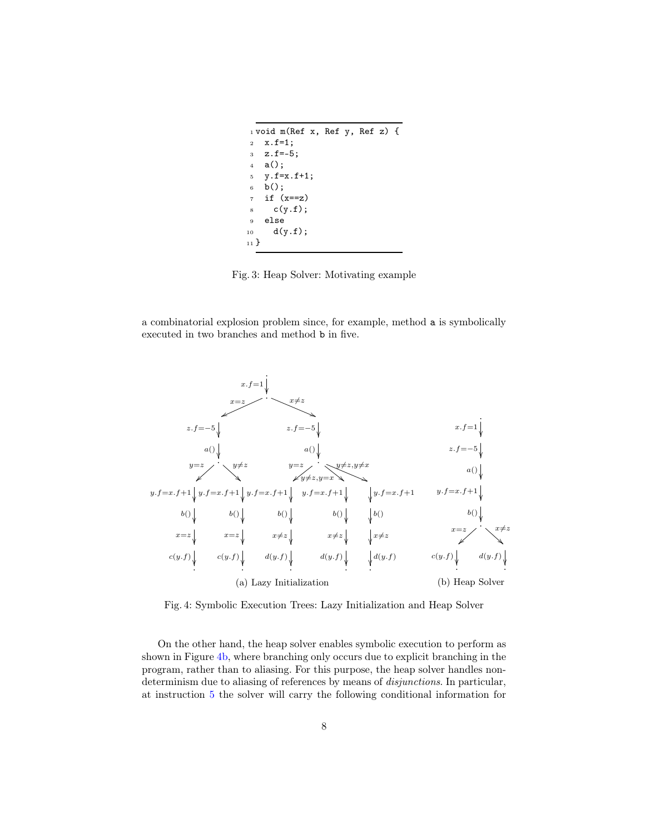```
1 void m(Ref x, Ref y, Ref z) {
2 x.f=1;3 \times .f = -5;4 a();
5 \, y.f=x.f+1;6 b();
   if (x==z)8 c(y.f);
9 else
10 d(y.f);
11 }
```
<span id="page-7-2"></span>Fig. 3: Heap Solver: Motivating example

a combinatorial explosion problem since, for example, method a is symbolically executed in two branches and method b in five.

<span id="page-7-1"></span>

Fig. 4: Symbolic Execution Trees: Lazy Initialization and Heap Solver

On the other hand, the heap solver enables symbolic execution to perform as shown in Figure [4b,](#page-7-2) where branching only occurs due to explicit branching in the program, rather than to aliasing. For this purpose, the heap solver handles nondeterminism due to aliasing of references by means of *disjunctions*. In particular, at instruction [5](#page-7-3) the solver will carry the following conditional information for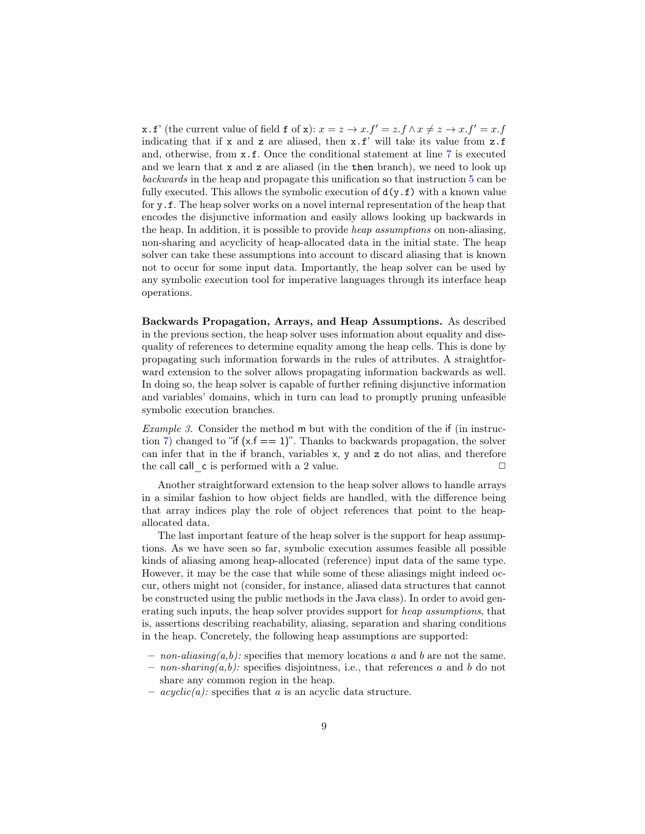x.f' (the current value of field f of x):  $x = z \rightarrow x.f' = z.f \land x \neq z \rightarrow x.f' = x.f$ indicating that if x and z are aliased, then  $x.f'$  will take its value from  $z.f$ and, otherwise, from x.f. Once the conditional statement at line [7](#page-7-4) is executed and we learn that x and z are aliased (in the then branch), we need to look up backwards in the heap and propagate this unification so that instruction [5](#page-7-3) can be fully executed. This allows the symbolic execution of  $d(y.f)$  with a known value for y.f. The heap solver works on a novel internal representation of the heap that encodes the disjunctive information and easily allows looking up backwards in the heap. In addition, it is possible to provide heap assumptions on non-aliasing, non-sharing and acyclicity of heap-allocated data in the initial state. The heap solver can take these assumptions into account to discard aliasing that is known not to occur for some input data. Importantly, the heap solver can be used by any symbolic execution tool for imperative languages through its interface heap operations.

Backwards Propagation, Arrays, and Heap Assumptions. As described in the previous section, the heap solver uses information about equality and disequality of references to determine equality among the heap cells. This is done by propagating such information forwards in the rules of attributes. A straightforward extension to the solver allows propagating information backwards as well. In doing so, the heap solver is capable of further refining disjunctive information and variables' domains, which in turn can lead to promptly pruning unfeasible symbolic execution branches.

Example 3. Consider the method m but with the condition of the if (in instruc-tion [7\)](#page-7-4) changed to "if  $(x.f == 1)$ ". Thanks to backwards propagation, the solver can infer that in the if branch, variables x, y and z do not alias, and therefore the call call c is performed with a 2 value.  $\Box$ 

Another straightforward extension to the heap solver allows to handle arrays in a similar fashion to how object fields are handled, with the difference being that array indices play the role of object references that point to the heapallocated data.

The last important feature of the heap solver is the support for heap assumptions. As we have seen so far, symbolic execution assumes feasible all possible kinds of aliasing among heap-allocated (reference) input data of the same type. However, it may be the case that while some of these aliasings might indeed occur, others might not (consider, for instance, aliased data structures that cannot be constructed using the public methods in the Java class). In order to avoid generating such inputs, the heap solver provides support for heap assumptions, that is, assertions describing reachability, aliasing, separation and sharing conditions in the heap. Concretely, the following heap assumptions are supported:

- non-aliasing(a,b): specifies that memory locations a and b are not the same.
- non-sharing(a,b): specifies disjointness, i.e., that references a and b do not share any common region in the heap.
- $acyclic(a)$ : specifies that a is an acyclic data structure.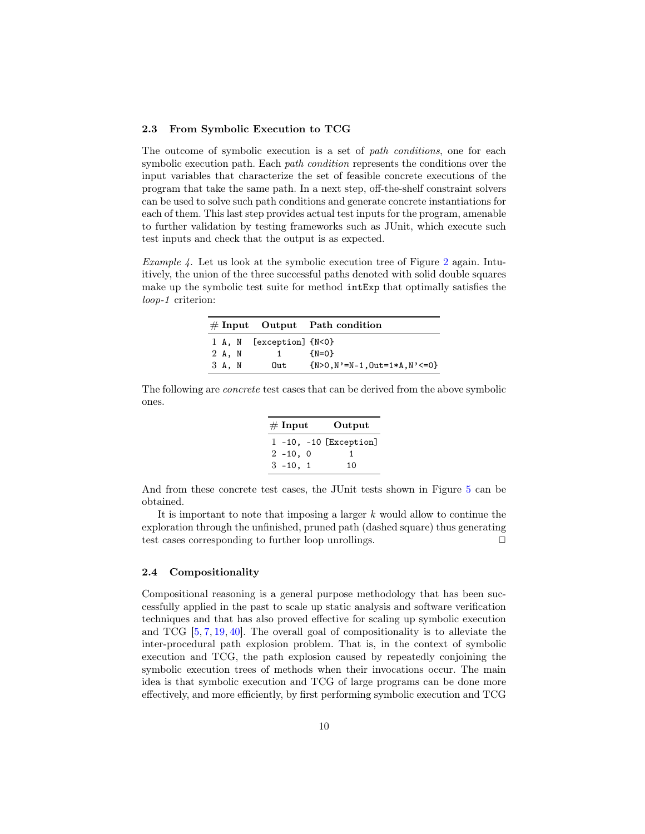#### 2.3 From Symbolic Execution to TCG

The outcome of symbolic execution is a set of path conditions, one for each symbolic execution path. Each path condition represents the conditions over the input variables that characterize the set of feasible concrete executions of the program that take the same path. In a next step, off-the-shelf constraint solvers can be used to solve such path conditions and generate concrete instantiations for each of them. This last step provides actual test inputs for the program, amenable to further validation by testing frameworks such as JUnit, which execute such test inputs and check that the output is as expected.

<span id="page-9-0"></span>*Example 4.* Let us look at the symbolic execution tree of Figure [2](#page-4-0) again. Intuitively, the union of the three successful paths denoted with solid double squares make up the symbolic test suite for method intExp that optimally satisfies the loop-1 criterion:

|        |                          | $# Input$ Output Path condition |
|--------|--------------------------|---------------------------------|
|        | 1 A, N [exception] {N<0} |                                 |
| 2 A, N | $\mathbf{1}$             | $-N=0$ }                        |
| 3 A, N | Out                      | ${N>0, N'=N-1, Out=1*A, N'<=0}$ |

The following are concrete test cases that can be derived from the above symbolic ones.

| $#$ Input   | Output                 |
|-------------|------------------------|
|             | 1 -10, -10 [Exception] |
| $2 - 10, 0$ |                        |
| $3 - 10, 1$ | 10                     |

And from these concrete test cases, the JUnit tests shown in Figure [5](#page-10-0) can be obtained.

It is important to note that imposing a larger  $k$  would allow to continue the exploration through the unfinished, pruned path (dashed square) thus generating test cases corresponding to further loop unrollings.

#### 2.4 Compositionality

Compositional reasoning is a general purpose methodology that has been successfully applied in the past to scale up static analysis and software verification techniques and that has also proved effective for scaling up symbolic execution and TCG [\[5,](#page-44-6) [7,](#page-44-7) [19,](#page-45-8) [40\]](#page-46-7). The overall goal of compositionality is to alleviate the inter-procedural path explosion problem. That is, in the context of symbolic execution and TCG, the path explosion caused by repeatedly conjoining the symbolic execution trees of methods when their invocations occur. The main idea is that symbolic execution and TCG of large programs can be done more effectively, and more efficiently, by first performing symbolic execution and TCG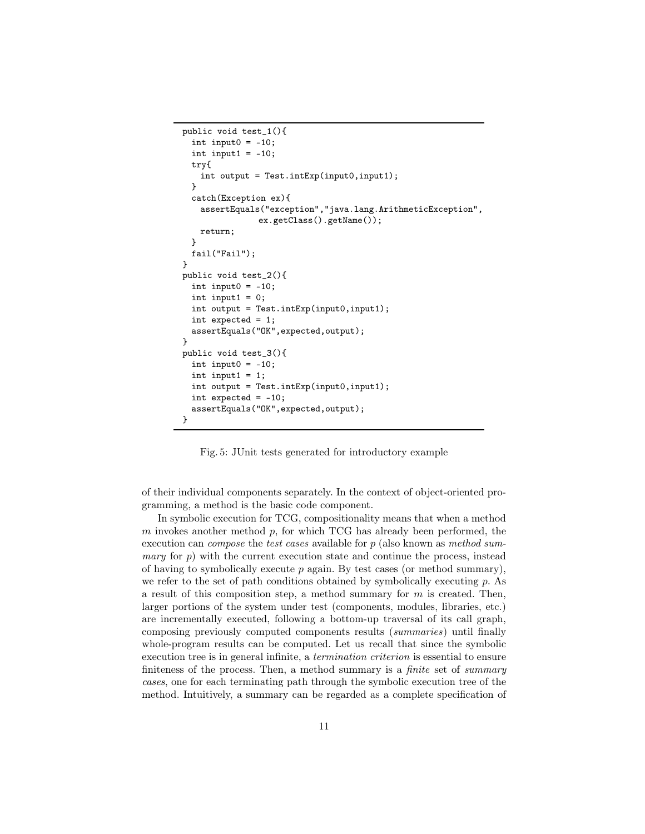```
public void test_1(){
 int input0 = -10;
 int input1 = -10;
 try{
   int output = Test.intExp(input0,input1);
 }
 catch(Exception ex){
   assertEquals("exception","java.lang.ArithmeticException",
               ex.getClass().getName());
   return;
 }
 fail("Fail");
}
public void test_2(){
 int input0 = -10;
 int input1 = 0;
 int output = Test.intExp(input0,input1);
 int expected = 1;
 assertEquals("OK",expected,output);
}
public void test_3(){
 int input0 = -10;
 int input1 = 1;
 int output = Test.intExp(input0,input1);
 int expected = -10;
 assertEquals("OK",expected,output);
}
```
Fig. 5: JUnit tests generated for introductory example

of their individual components separately. In the context of object-oriented programming, a method is the basic code component.

In symbolic execution for TCG, compositionality means that when a method m invokes another method  $p$ , for which TCG has already been performed, the execution can *compose* the test cases available for  $p$  (also known as *method summary* for  $p$ ) with the current execution state and continue the process, instead of having to symbolically execute  $p$  again. By test cases (or method summary), we refer to the set of path conditions obtained by symbolically executing  $p$ . As a result of this composition step, a method summary for  $m$  is created. Then, larger portions of the system under test (components, modules, libraries, etc.) are incrementally executed, following a bottom-up traversal of its call graph, composing previously computed components results (summaries) until finally whole-program results can be computed. Let us recall that since the symbolic execution tree is in general infinite, a termination criterion is essential to ensure finiteness of the process. Then, a method summary is a finite set of summary cases, one for each terminating path through the symbolic execution tree of the method. Intuitively, a summary can be regarded as a complete specification of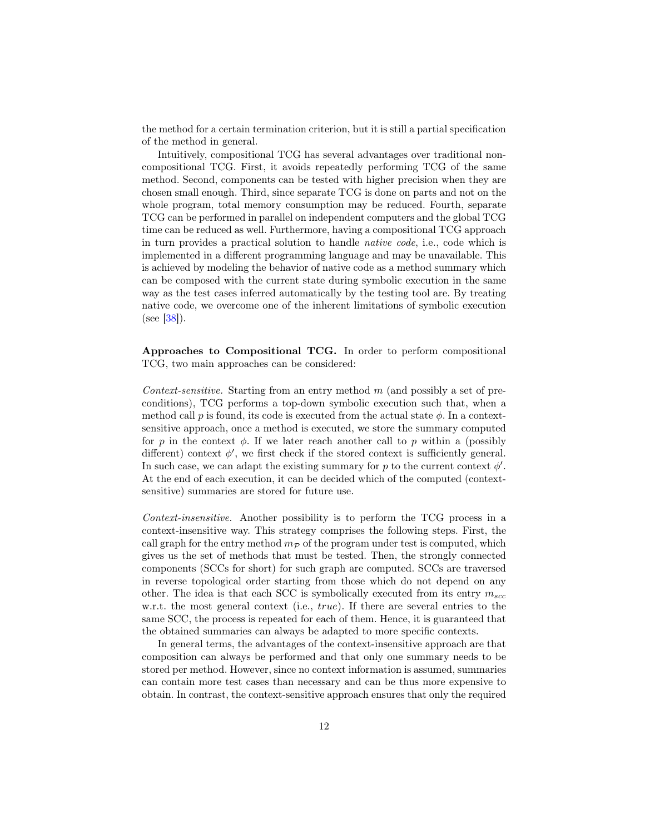the method for a certain termination criterion, but it is still a partial specification of the method in general.

Intuitively, compositional TCG has several advantages over traditional noncompositional TCG. First, it avoids repeatedly performing TCG of the same method. Second, components can be tested with higher precision when they are chosen small enough. Third, since separate TCG is done on parts and not on the whole program, total memory consumption may be reduced. Fourth, separate TCG can be performed in parallel on independent computers and the global TCG time can be reduced as well. Furthermore, having a compositional TCG approach in turn provides a practical solution to handle native code, i.e., code which is implemented in a different programming language and may be unavailable. This is achieved by modeling the behavior of native code as a method summary which can be composed with the current state during symbolic execution in the same way as the test cases inferred automatically by the testing tool are. By treating native code, we overcome one of the inherent limitations of symbolic execution  $(see [38]).$  $(see [38]).$  $(see [38]).$ 

Approaches to Compositional TCG. In order to perform compositional TCG, two main approaches can be considered:

Context-sensitive. Starting from an entry method  $m$  (and possibly a set of preconditions), TCG performs a top-down symbolic execution such that, when a method call  $p$  is found, its code is executed from the actual state  $\phi$ . In a contextsensitive approach, once a method is executed, we store the summary computed for p in the context  $\phi$ . If we later reach another call to p within a (possibly different) context  $\phi'$ , we first check if the stored context is sufficiently general. In such case, we can adapt the existing summary for p to the current context  $\phi'$ . At the end of each execution, it can be decided which of the computed (contextsensitive) summaries are stored for future use.

Context-insensitive. Another possibility is to perform the TCG process in a context-insensitive way. This strategy comprises the following steps. First, the call graph for the entry method  $m_p$  of the program under test is computed, which gives us the set of methods that must be tested. Then, the strongly connected components (SCCs for short) for such graph are computed. SCCs are traversed in reverse topological order starting from those which do not depend on any other. The idea is that each SCC is symbolically executed from its entry  $m_{scr}$ w.r.t. the most general context (i.e., *true*). If there are several entries to the same SCC, the process is repeated for each of them. Hence, it is guaranteed that the obtained summaries can always be adapted to more specific contexts.

In general terms, the advantages of the context-insensitive approach are that composition can always be performed and that only one summary needs to be stored per method. However, since no context information is assumed, summaries can contain more test cases than necessary and can be thus more expensive to obtain. In contrast, the context-sensitive approach ensures that only the required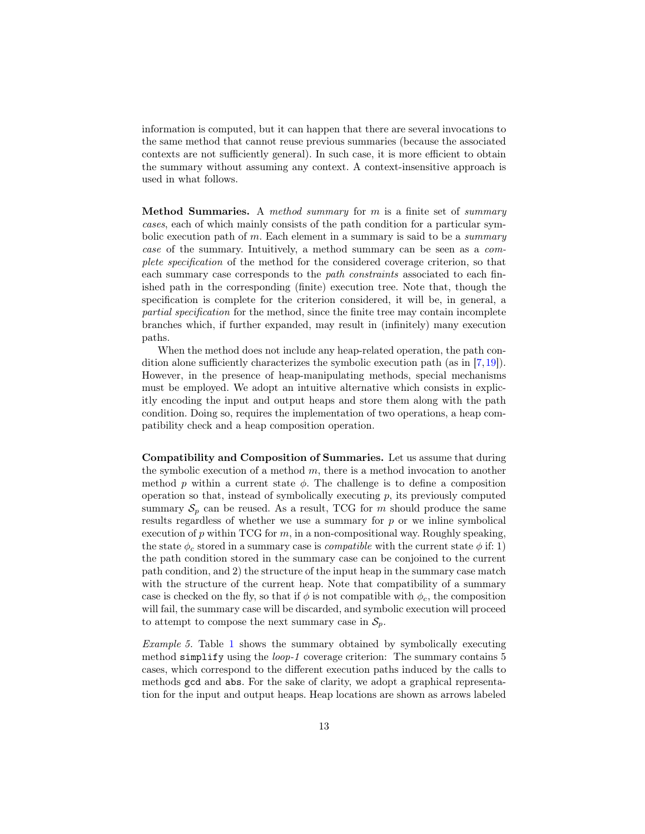information is computed, but it can happen that there are several invocations to the same method that cannot reuse previous summaries (because the associated contexts are not sufficiently general). In such case, it is more efficient to obtain the summary without assuming any context. A context-insensitive approach is used in what follows.

Method Summaries. A method summary for  $m$  is a finite set of summary cases, each of which mainly consists of the path condition for a particular symbolic execution path of  $m$ . Each element in a summary is said to be a *summary* case of the summary. Intuitively, a method summary can be seen as a complete specification of the method for the considered coverage criterion, so that each summary case corresponds to the path constraints associated to each finished path in the corresponding (finite) execution tree. Note that, though the specification is complete for the criterion considered, it will be, in general, a partial specification for the method, since the finite tree may contain incomplete branches which, if further expanded, may result in (infinitely) many execution paths.

When the method does not include any heap-related operation, the path condition alone sufficiently characterizes the symbolic execution path (as in [\[7,](#page-44-7)[19\]](#page-45-8)). However, in the presence of heap-manipulating methods, special mechanisms must be employed. We adopt an intuitive alternative which consists in explicitly encoding the input and output heaps and store them along with the path condition. Doing so, requires the implementation of two operations, a heap compatibility check and a heap composition operation.

Compatibility and Composition of Summaries. Let us assume that during the symbolic execution of a method  $m$ , there is a method invocation to another method p within a current state  $\phi$ . The challenge is to define a composition operation so that, instead of symbolically executing  $p$ , its previously computed summary  $S_p$  can be reused. As a result, TCG for m should produce the same results regardless of whether we use a summary for  $p$  or we inline symbolical execution of  $p$  within TCG for  $m$ , in a non-compositional way. Roughly speaking, the state  $\phi_c$  stored in a summary case is *compatible* with the current state  $\phi$  if: 1) the path condition stored in the summary case can be conjoined to the current path condition, and 2) the structure of the input heap in the summary case match with the structure of the current heap. Note that compatibility of a summary case is checked on the fly, so that if  $\phi$  is not compatible with  $\phi_c$ , the composition will fail, the summary case will be discarded, and symbolic execution will proceed to attempt to compose the next summary case in  $S_p$ .

Example 5. Table [1](#page-13-0) shows the summary obtained by symbolically executing method simplify using the *loop-1* coverage criterion: The summary contains 5 cases, which correspond to the different execution paths induced by the calls to methods gcd and abs. For the sake of clarity, we adopt a graphical representation for the input and output heaps. Heap locations are shown as arrows labeled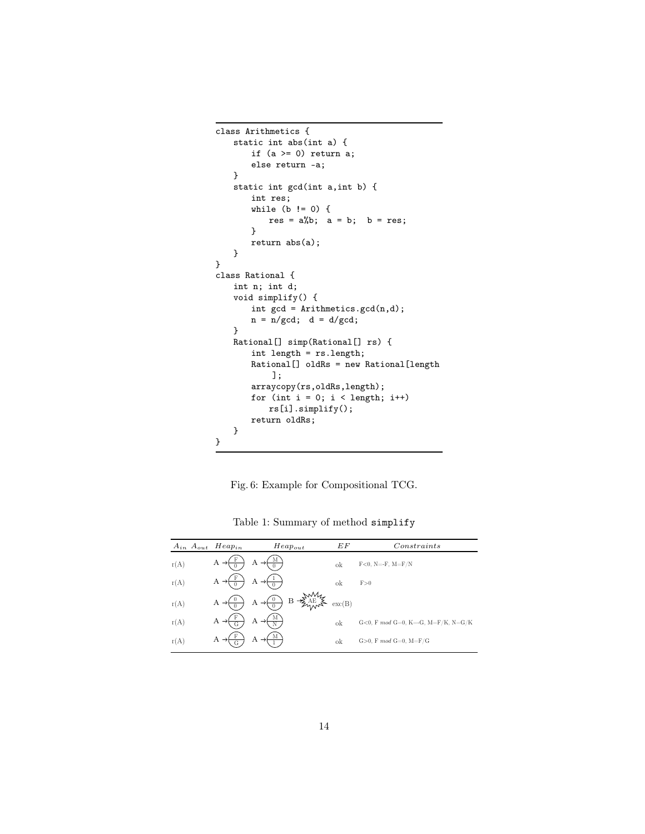```
class Arithmetics {
   static int abs(int a) {
       if (a \ge 0) return a;
       else return -a;
   }
   static int gcd(int a,int b) {
       int res;
       while (b != 0) {
          res = a/b; a = b; b = res;}
       return abs(a);
   }
}
class Rational {
   int n; int d;
   void simplify() {
       int gcd = Arithmetics.gcd(n,d);
       n = n/gcd; d = d/gcd;}
   Rational[] simp(Rational[] rs) {
       int length = rs.length;
       Rational[] oldRs = new Rational[length
           ];
       arraycopy(rs,oldRs,length);
       for (int i = 0; i < length; i++)rs[i].simplify();
       return oldRs;
   }
}
```
Fig. 6: Example for Compositional TCG.

<span id="page-13-0"></span>

| $A_{in}$ $A_{out}$ | $Heap_{in}$                                                           | $Heap_{out}$                                                            | ΕF     | Constrains                               |
|--------------------|-----------------------------------------------------------------------|-------------------------------------------------------------------------|--------|------------------------------------------|
| r(A)               | $A \rightarrow$                                                       | $\frac{M}{0}$<br>$A \rightarrow$                                        | ok     | $F<0$ , N=-F, M=F/N                      |
| r(A)               | $A \rightarrow$                                                       | $A \rightarrow \vdash$                                                  | ok     | F>0                                      |
| r(A)               | A $\rightarrow \left( \begin{array}{c} \vee \\ 0 \end{array} \right)$ | $B = \frac{1}{2}$<br>$A \rightarrow \begin{matrix} 0 \\ 0 \end{matrix}$ | exc(B) |                                          |
| r(A)               | $A \rightarrow$                                                       | $\frac{M}{N}$<br>$A \rightarrow$                                        | ok     | $G<0$ , F $mod G=0$ , K=-G, M=F/K, N=G/K |
| r(A)               | А                                                                     | M<br>$A \rightarrow$                                                    | ok     | $G>0$ , F $mod G=0$ , M=F/G              |

Table 1: Summary of method simplify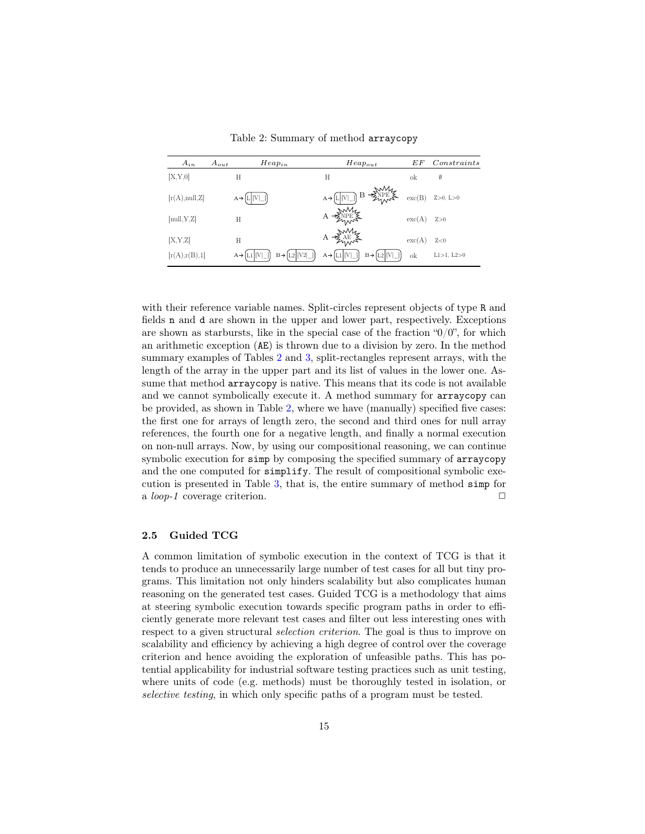<span id="page-14-0"></span>

| $A_{in}$       | $A_{out}$ | $Heap_{in}$                                        | $Heap_{out}$                                                                                                                                | EF     | Constrains          |
|----------------|-----------|----------------------------------------------------|---------------------------------------------------------------------------------------------------------------------------------------------|--------|---------------------|
| [X,Y,0]        | H         |                                                    | Н                                                                                                                                           | ok     | Ø                   |
| [r(A), null,Z] |           | $A \rightarrow L$ $ V $                            | $A \rightarrow \boxed{\mathbb{L}[\left \mathbb{V}\right _{-}]} \ B \rightarrow^{\text{LMM}_2}_{\text{MMM}^{\text{N}} \ \leq \ \sim \ \sim}$ | exc(B) | Z>0, L>0            |
| [null, Y, Z]   | Н         |                                                    | $A \neq^{\text{MM1}}_{\text{Lipm}}$                                                                                                         | exc(A) | Z>0                 |
| [X, Y, Z]      | Н         |                                                    | $A \frac{1}{\sum_{i=1}^{N} A E}$                                                                                                            | exc(A) | Z<0                 |
| [r(A),r(B),1]  |           | $B \rightarrow [L2][V2]$<br>$A \rightarrow L1  V $ | $A \rightarrow [L1   [V _{\_}]$<br>$B \rightarrow  L2 [V _{-}]$                                                                             | ok     | $L1 > 1$ , $L2 > 0$ |

Table 2: Summary of method arraycopy

with their reference variable names. Split-circles represent objects of type R and fields n and d are shown in the upper and lower part, respectively. Exceptions are shown as starbursts, like in the special case of the fraction " $0/0$ ", for which an arithmetic exception (AE) is thrown due to a division by zero. In the method summary examples of Tables [2](#page-14-0) and [3,](#page-15-0) split-rectangles represent arrays, with the length of the array in the upper part and its list of values in the lower one. Assume that method arraycopy is native. This means that its code is not available and we cannot symbolically execute it. A method summary for arraycopy can be provided, as shown in Table [2,](#page-14-0) where we have (manually) specified five cases: the first one for arrays of length zero, the second and third ones for null array references, the fourth one for a negative length, and finally a normal execution on non-null arrays. Now, by using our compositional reasoning, we can continue symbolic execution for simp by composing the specified summary of arraycopy and the one computed for simplify. The result of compositional symbolic execution is presented in Table [3,](#page-15-0) that is, the entire summary of method simp for a loop-1 coverage criterion.  $\Box$ 

## 2.5 Guided TCG

A common limitation of symbolic execution in the context of TCG is that it tends to produce an unnecessarily large number of test cases for all but tiny programs. This limitation not only hinders scalability but also complicates human reasoning on the generated test cases. Guided TCG is a methodology that aims at steering symbolic execution towards specific program paths in order to efficiently generate more relevant test cases and filter out less interesting ones with respect to a given structural *selection criterion*. The goal is thus to improve on scalability and efficiency by achieving a high degree of control over the coverage criterion and hence avoiding the exploration of unfeasible paths. This has potential applicability for industrial software testing practices such as unit testing, where units of code (e.g. methods) must be thoroughly tested in isolation, or selective testing, in which only specific paths of a program must be tested.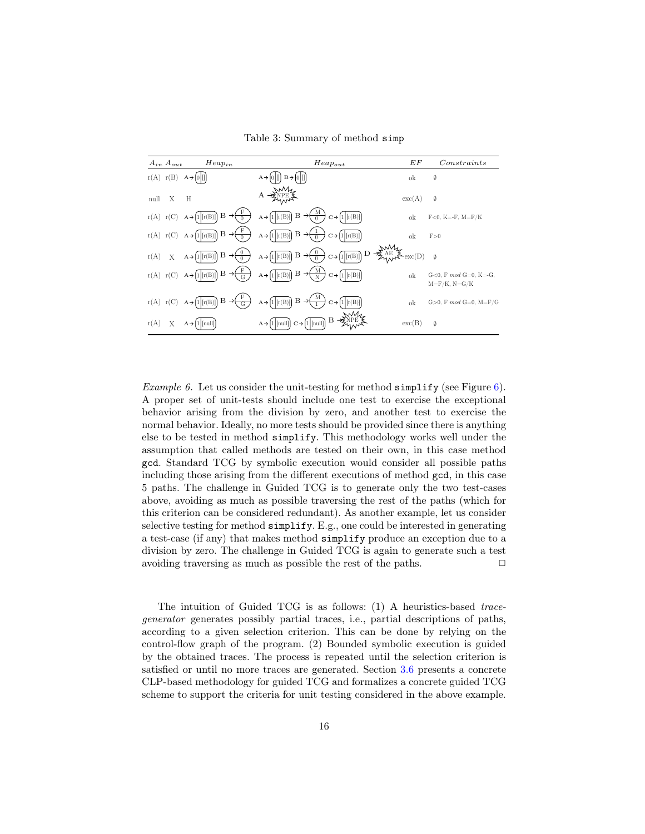<span id="page-15-0"></span>

|               | $A_{in}$ $A_{out}$ | $Heap_{in}$                                                                          | $Heap_{out}$                                                                                                                                                                                                                                                                      | $E\overline{F}$ | Constraints                                          |
|---------------|--------------------|--------------------------------------------------------------------------------------|-----------------------------------------------------------------------------------------------------------------------------------------------------------------------------------------------------------------------------------------------------------------------------------|-----------------|------------------------------------------------------|
| $r(A)$ $r(B)$ |                    | $A \rightarrow [0]$                                                                  | $A \rightarrow [0][] B \rightarrow [0][]$                                                                                                                                                                                                                                         | ok              | Ø                                                    |
| null          | X                  | H                                                                                    | <b>FINDER</b>                                                                                                                                                                                                                                                                     | exc(A)          | $\emptyset$                                          |
| r(A)          | r(C)               | B<br>$A \rightarrow [1   [r(B)]]$                                                    | $A \rightarrow [1   [r(B)]] B$<br>$C \rightarrow [1   [r(B)]]$                                                                                                                                                                                                                    | ok              | $F<0$ , K=-F, M=F/K                                  |
| $r(A)$ $r(C)$ |                    | F<br>$A \rightarrow \left[1 \vert \overline{r(B)} \vert\right] B \rightarrow \left($ | $\rightarrow \left( \begin{array}{c} 1 \\ 0 \end{array} \right)$<br>$A \rightarrow \lbrack 1 \rbrack (r(B))$ B<br>$C \rightarrow [1   [r(B)]]$                                                                                                                                    | ok              | F>0                                                  |
| r(A)          | X                  | $\overline{0}$<br>B<br>$A \rightarrow [1   [r(B)]]$<br>$\rightarrow$                 | $\underset{\mathcal{L}_{\text{WW}}}{\mathbb{R}^{MM}_{AE}}_{\text{exc}(D)}$<br>$\frac{0}{0}$<br>$A \rightarrow \left( \frac{1}{\left[ r(B) \right]} \right) B \rightarrow \left( \frac{1}{\left[ r(B) \right]} \right)$<br>$C \rightarrow \lceil \lceil \lceil r(B) \rceil \rceil$ |                 | $\emptyset$                                          |
| r(A)          | r(C)               | $\sqrt{F}$<br>$A \rightarrow \boxed{1   [r(B)]} B \rightarrow$                       | $\rightarrow \left(\frac{M}{N}\right)$<br>$A \rightarrow \lbrack 1 \rbrack (r(B))$ B<br>$C \rightarrow \lceil \cdot \rceil$ [r(B)]                                                                                                                                                | ok              | $G<0$ , F $mod G=0$ , K=-G,<br>$M = F/K$ , $N = G/K$ |
| r(A)          | r(C)               | $\frac{\text{F}}{\text{G}}$<br>$A \rightarrow [1   [r(B)]] B \rightarrow$            | $\frac{M}{1}$<br>$A \rightarrow [1   [r(B)]] B$<br>$\rightarrow$ f<br>$C \rightarrow [1   [r(B)]]$                                                                                                                                                                                | ok              | $G>0$ , F $mod G=0$ , M=F/G                          |
| r(A)          | Х                  | $A \rightarrow  1 $ [null]                                                           | <b>NVMA</b><br>B<br>$A \rightarrow  1 $ [null]<br>$C\rightarrow  1 $ [null]                                                                                                                                                                                                       | exc(B)          | Ø                                                    |

Table 3: Summary of method simp

*Example 6.* Let us consider the unit-testing for method simplify (see Figure [6\)](#page-13-1). A proper set of unit-tests should include one test to exercise the exceptional behavior arising from the division by zero, and another test to exercise the normal behavior. Ideally, no more tests should be provided since there is anything else to be tested in method simplify. This methodology works well under the assumption that called methods are tested on their own, in this case method gcd. Standard TCG by symbolic execution would consider all possible paths including those arising from the different executions of method gcd, in this case 5 paths. The challenge in Guided TCG is to generate only the two test-cases above, avoiding as much as possible traversing the rest of the paths (which for this criterion can be considered redundant). As another example, let us consider selective testing for method simplify. E.g., one could be interested in generating a test-case (if any) that makes method simplify produce an exception due to a division by zero. The challenge in Guided TCG is again to generate such a test avoiding traversing as much as possible the rest of the paths.  $\Box$ 

The intuition of Guided TCG is as follows: (1) A heuristics-based tracegenerator generates possibly partial traces, i.e., partial descriptions of paths, according to a given selection criterion. This can be done by relying on the control-flow graph of the program. (2) Bounded symbolic execution is guided by the obtained traces. The process is repeated until the selection criterion is satisfied or until no more traces are generated. Section [3.6](#page-29-0) presents a concrete CLP-based methodology for guided TCG and formalizes a concrete guided TCG scheme to support the criteria for unit testing considered in the above example.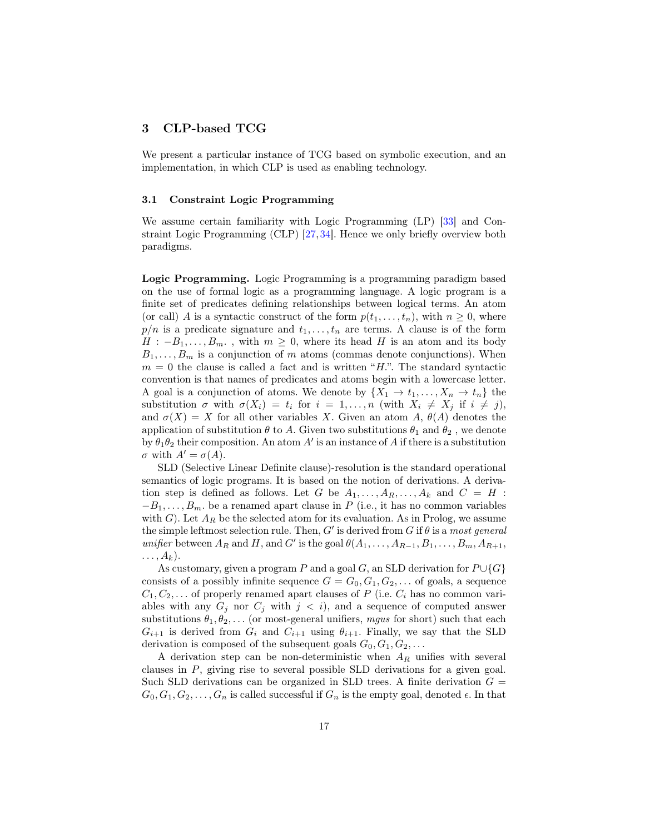# 3 CLP-based TCG

We present a particular instance of TCG based on symbolic execution, and an implementation, in which CLP is used as enabling technology.

#### 3.1 Constraint Logic Programming

We assume certain familiarity with Logic Programming (LP) [\[33\]](#page-46-8) and Constraint Logic Programming (CLP) [\[27,](#page-45-9) [34\]](#page-46-9). Hence we only briefly overview both paradigms.

Logic Programming. Logic Programming is a programming paradigm based on the use of formal logic as a programming language. A logic program is a finite set of predicates defining relationships between logical terms. An atom (or call) A is a syntactic construct of the form  $p(t_1, \ldots, t_n)$ , with  $n \geq 0$ , where  $p/n$  is a predicate signature and  $t_1, \ldots, t_n$  are terms. A clause is of the form  $H: -B_1, \ldots, B_m$ , with  $m \geq 0$ , where its head H is an atom and its body  $B_1, \ldots, B_m$  is a conjunction of m atoms (commas denote conjunctions). When  $m = 0$  the clause is called a fact and is written "H.". The standard syntactic convention is that names of predicates and atoms begin with a lowercase letter. A goal is a conjunction of atoms. We denote by  $\{X_1 \to t_1, \ldots, X_n \to t_n\}$  the substitution  $\sigma$  with  $\sigma(X_i) = t_i$  for  $i = 1, ..., n$  (with  $X_i \neq X_j$  if  $i \neq j$ ), and  $\sigma(X) = X$  for all other variables X. Given an atom A,  $\theta(A)$  denotes the application of substitution  $\theta$  to A. Given two substitutions  $\theta_1$  and  $\theta_2$ , we denote by  $\theta_1 \theta_2$  their composition. An atom  $A'$  is an instance of A if there is a substitution  $\sigma$  with  $A' = \sigma(A)$ .

SLD (Selective Linear Definite clause)-resolution is the standard operational semantics of logic programs. It is based on the notion of derivations. A derivation step is defined as follows. Let G be  $A_1, \ldots, A_R, \ldots, A_k$  and  $C = H$ :  $-B_1, \ldots, B_m$ . be a renamed apart clause in P (i.e., it has no common variables with G). Let  $A_R$  be the selected atom for its evaluation. As in Prolog, we assume the simple leftmost selection rule. Then, G' is derived from G if  $\theta$  is a most general unifier between  $A_R$  and H, and G' is the goal  $\theta(A_1, \ldots, A_{R-1}, B_1, \ldots, B_m, A_{R+1},$  $\ldots$ ,  $A_k$ ).

As customary, given a program P and a goal G, an SLD derivation for  $P \cup \{G\}$ consists of a possibly infinite sequence  $G = G_0, G_1, G_2, \ldots$  of goals, a sequence  $C_1, C_2, \ldots$  of properly renamed apart clauses of  $P$  (i.e.  $C_i$  has no common variables with any  $G_j$  nor  $C_j$  with  $j < i$ , and a sequence of computed answer substitutions  $\theta_1, \theta_2, \ldots$  (or most-general unifiers, mgus for short) such that each  $G_{i+1}$  is derived from  $G_i$  and  $C_{i+1}$  using  $\theta_{i+1}$ . Finally, we say that the SLD derivation is composed of the subsequent goals  $G_0, G_1, G_2, \ldots$ 

A derivation step can be non-deterministic when  $A_R$  unifies with several clauses in P, giving rise to several possible SLD derivations for a given goal. Such SLD derivations can be organized in SLD trees. A finite derivation  $G =$  $G_0, G_1, G_2, \ldots, G_n$  is called successful if  $G_n$  is the empty goal, denoted  $\epsilon$ . In that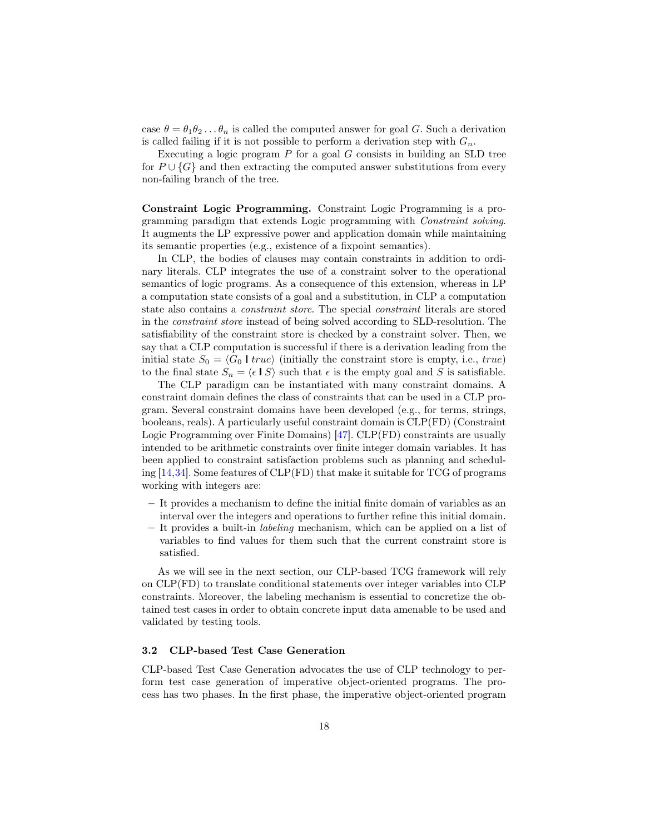case  $\theta = \theta_1 \theta_2 \dots \theta_n$  is called the computed answer for goal G. Such a derivation is called failing if it is not possible to perform a derivation step with  $G_n$ .

Executing a logic program  $P$  for a goal  $G$  consists in building an SLD tree for  $P \cup \{G\}$  and then extracting the computed answer substitutions from every non-failing branch of the tree.

Constraint Logic Programming. Constraint Logic Programming is a programming paradigm that extends Logic programming with Constraint solving. It augments the LP expressive power and application domain while maintaining its semantic properties (e.g., existence of a fixpoint semantics).

In CLP, the bodies of clauses may contain constraints in addition to ordinary literals. CLP integrates the use of a constraint solver to the operational semantics of logic programs. As a consequence of this extension, whereas in LP a computation state consists of a goal and a substitution, in CLP a computation state also contains a constraint store. The special constraint literals are stored in the constraint store instead of being solved according to SLD-resolution. The satisfiability of the constraint store is checked by a constraint solver. Then, we say that a CLP computation is successful if there is a derivation leading from the initial state  $S_0 = \langle G_0 | \text{true} \rangle$  (initially the constraint store is empty, i.e., true) to the final state  $S_n = \langle \epsilon | S \rangle$  such that  $\epsilon$  is the empty goal and S is satisfiable.

The CLP paradigm can be instantiated with many constraint domains. A constraint domain defines the class of constraints that can be used in a CLP program. Several constraint domains have been developed (e.g., for terms, strings, booleans, reals). A particularly useful constraint domain is CLP(FD) (Constraint Logic Programming over Finite Domains) [\[47\]](#page-46-10). CLP(FD) constraints are usually intended to be arithmetic constraints over finite integer domain variables. It has been applied to constraint satisfaction problems such as planning and scheduling [\[14,](#page-45-10)[34\]](#page-46-9). Some features of CLP(FD) that make it suitable for TCG of programs working with integers are:

- It provides a mechanism to define the initial finite domain of variables as an interval over the integers and operations to further refine this initial domain.
- It provides a built-in labeling mechanism, which can be applied on a list of variables to find values for them such that the current constraint store is satisfied.

As we will see in the next section, our CLP-based TCG framework will rely on CLP(FD) to translate conditional statements over integer variables into CLP constraints. Moreover, the labeling mechanism is essential to concretize the obtained test cases in order to obtain concrete input data amenable to be used and validated by testing tools.

## 3.2 CLP-based Test Case Generation

CLP-based Test Case Generation advocates the use of CLP technology to perform test case generation of imperative object-oriented programs. The process has two phases. In the first phase, the imperative object-oriented program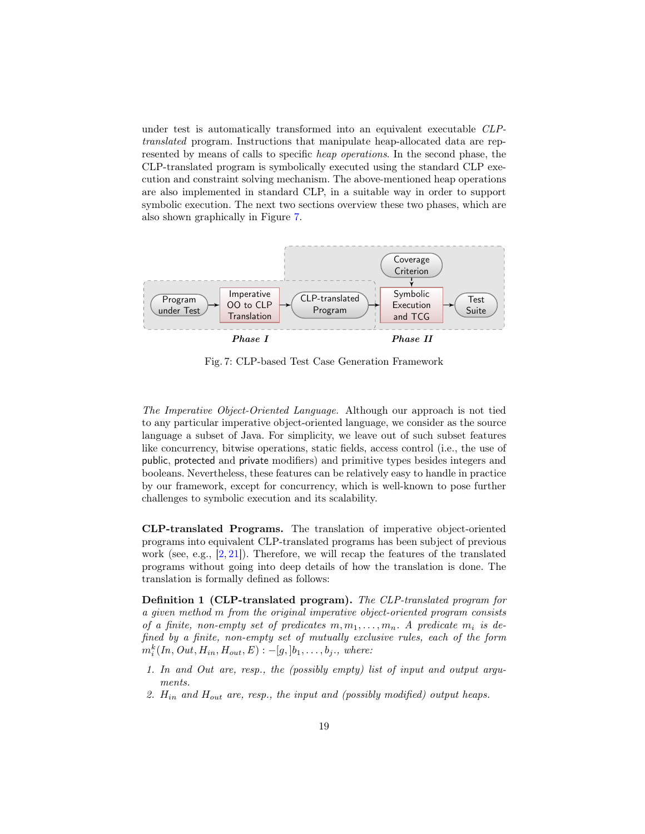under test is automatically transformed into an equivalent executable CLPtranslated program. Instructions that manipulate heap-allocated data are represented by means of calls to specific heap operations. In the second phase, the CLP-translated program is symbolically executed using the standard CLP execution and constraint solving mechanism. The above-mentioned heap operations are also implemented in standard CLP, in a suitable way in order to support symbolic execution. The next two sections overview these two phases, which are also shown graphically in Figure [7.](#page-18-0)

<span id="page-18-0"></span>

Fig. 7: CLP-based Test Case Generation Framework

The Imperative Object-Oriented Language. Although our approach is not tied to any particular imperative object-oriented language, we consider as the source language a subset of Java. For simplicity, we leave out of such subset features like concurrency, bitwise operations, static fields, access control (i.e., the use of public, protected and private modifiers) and primitive types besides integers and booleans. Nevertheless, these features can be relatively easy to handle in practice by our framework, except for concurrency, which is well-known to pose further challenges to symbolic execution and its scalability.

<span id="page-18-2"></span>CLP-translated Programs. The translation of imperative object-oriented programs into equivalent CLP-translated programs has been subject of previous work (see, e.g.,  $[2, 21]$  $[2, 21]$  $[2, 21]$ ). Therefore, we will recap the features of the translated programs without going into deep details of how the translation is done. The translation is formally defined as follows:

<span id="page-18-1"></span>Definition 1 (CLP-translated program). The CLP-translated program for a given method m from the original imperative object-oriented program consists of a finite, non-empty set of predicates  $m, m_1, \ldots, m_n$ . A predicate  $m_i$  is defined by a finite, non-empty set of mutually exclusive rules, each of the form  $m_i^k(In, Out, H_{in}, H_{out}, E) : -[g,]b_1, \ldots, b_j.,$  where:

- 1. In and Out are, resp., the (possibly empty) list of input and output arguments.
- 2.  $H_{in}$  and  $H_{out}$  are, resp., the input and (possibly modified) output heaps.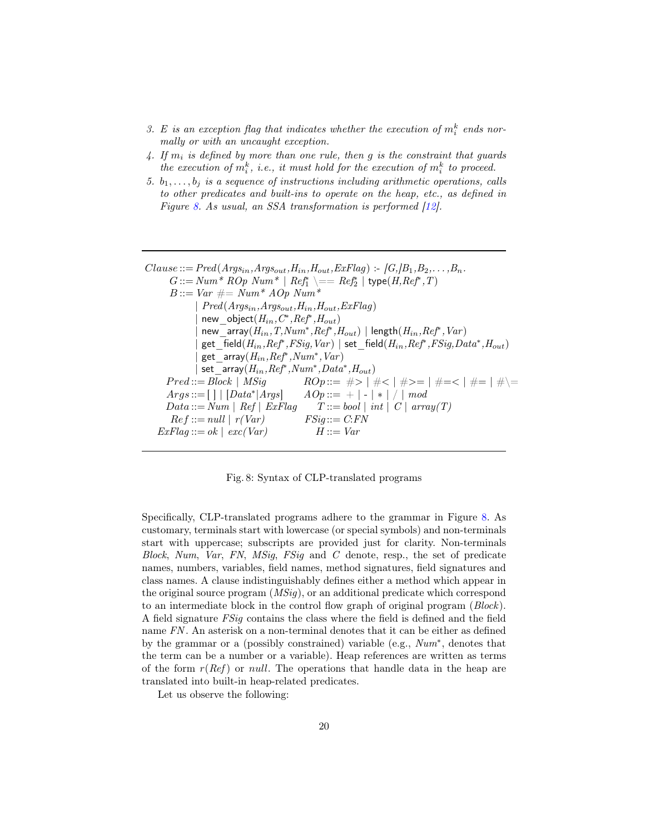- 3. E is an exception flag that indicates whether the execution of  $m_i^k$  ends normally or with an uncaught exception.
- <span id="page-19-1"></span>4. If  $m_i$  is defined by more than one rule, then  $g$  is the constraint that guards the execution of  $m_i^k$ , i.e., it must hold for the execution of  $m_i^k$  to proceed.
- 5.  $b_1, \ldots, b_j$  is a sequence of instructions including arithmetic operations, calls to other predicates and built-ins to operate on the heap, etc., as defined in Figure [8.](#page-19-0) As usual, an SSA transformation is performed [\[12\]](#page-45-12).

```
Clause ::= Pred(Args_{in}, Args_{out}, H_{in}, H_{out}, ExFlag) : [G, B_1, B_2, \ldots, B_n].G ::= Num^* \; ROp \; Num^* \; | \; Ref^*_1 \; \texttt{\textbackslash} = Re\emph{f}_2^* \; | \; \texttt{type}(H, Ref^*, T)B ::= Var \neq Num^* AOp Num^*Pred(Args_{in}, Args_{out},H_{in},H_{out},ExFlag)| new_object(H_{in}, C^*, Ref^*, H_{out})\mid new\frac{1}{\sqrt{2}}array(H_{in},T,Num^{*},Ref^{*},H_{out})\mid \textsf{length}(H_{in},Ref^{*},Var)\mid get_field(H_{in},Ref^*,FSig,Var) \mid set_field(H_{in},Ref^*,FSig, Data^*,H_{out})| get_array(H_{in}, Ref^*,Num^*,Var)| set_array(H_{in}, Ref^*, Num^*, Data^*, H_{out})Pred ::= Block \mid MSigArgs ::= [ ] | [Data^* |Args]Data ::= Num \mid Ref \mid ExFlagRe f ::= null \mid r(Var)ExFlag ::= ok \mid exc(Var)ROp ::= #> | #< | #>= | #=< | #= | #>=AOp ::= + |-| * | / | \modT ::= bool \mid int \mid C \mid array(T)FSiq ::= C:FNH ::= Var
```
Fig. 8: Syntax of CLP-translated programs

Specifically, CLP-translated programs adhere to the grammar in Figure [8.](#page-19-0) As customary, terminals start with lowercase (or special symbols) and non-terminals start with uppercase; subscripts are provided just for clarity. Non-terminals Block, Num, Var, FN, MSig, FSig and C denote, resp., the set of predicate names, numbers, variables, field names, method signatures, field signatures and class names. A clause indistinguishably defines either a method which appear in the original source program (MSig), or an additional predicate which correspond to an intermediate block in the control flow graph of original program (Block). A field signature FSig contains the class where the field is defined and the field name FN . An asterisk on a non-terminal denotes that it can be either as defined by the grammar or a (possibly constrained) variable (e.g., Num<sup>∗</sup> , denotes that the term can be a number or a variable). Heap references are written as terms of the form  $r(Ref)$  or *null*. The operations that handle data in the heap are translated into built-in heap-related predicates.

Let us observe the following: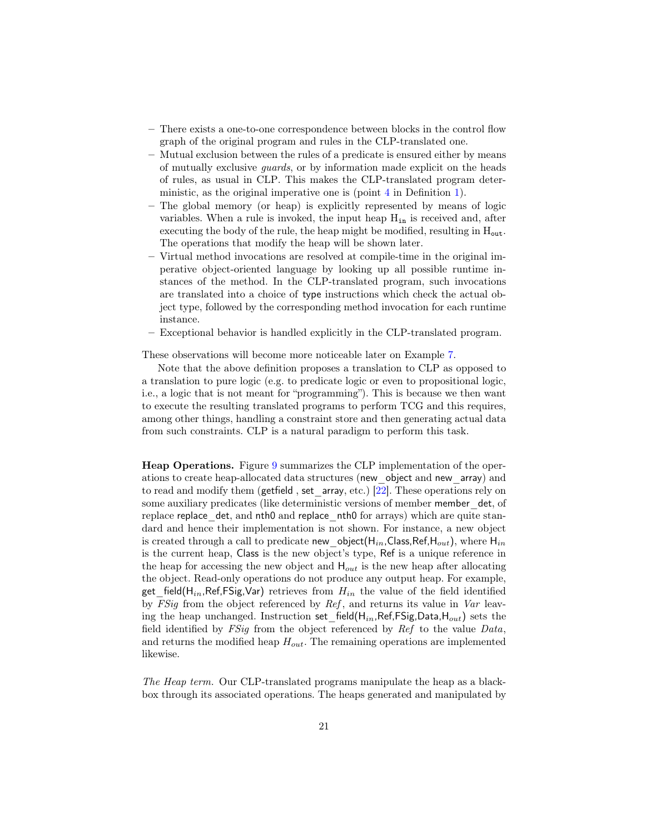- There exists a one-to-one correspondence between blocks in the control flow graph of the original program and rules in the CLP-translated one.
- Mutual exclusion between the rules of a predicate is ensured either by means of mutually exclusive guards, or by information made explicit on the heads of rules, as usual in CLP. This makes the CLP-translated program deterministic, as the original imperative one is (point [4](#page-19-1) in Definition [1\)](#page-18-1).
- The global memory (or heap) is explicitly represented by means of logic variables. When a rule is invoked, the input heap  $H_{in}$  is received and, after executing the body of the rule, the heap might be modified, resulting in  $H_{out}$ . The operations that modify the heap will be shown later.
- Virtual method invocations are resolved at compile-time in the original imperative object-oriented language by looking up all possible runtime instances of the method. In the CLP-translated program, such invocations are translated into a choice of type instructions which check the actual object type, followed by the corresponding method invocation for each runtime instance.
- Exceptional behavior is handled explicitly in the CLP-translated program.

These observations will become more noticeable later on Example [7.](#page-21-0)

Note that the above definition proposes a translation to CLP as opposed to a translation to pure logic (e.g. to predicate logic or even to propositional logic, i.e., a logic that is not meant for "programming"). This is because we then want to execute the resulting translated programs to perform TCG and this requires, among other things, handling a constraint store and then generating actual data from such constraints. CLP is a natural paradigm to perform this task.

Heap Operations. Figure [9](#page-21-1) summarizes the CLP implementation of the operations to create heap-allocated data structures (new\_object and new\_array) and to read and modify them (getfield, set\_array, etc.) [\[22\]](#page-45-13). These operations rely on some auxiliary predicates (like deterministic versions of member member det, of replace replace det, and nth0 and replace nth0 for arrays) which are quite standard and hence their implementation is not shown. For instance, a new object is created through a call to predicate new object( $H_{in}$ ,Class,Ref,H<sub>out</sub>), where H<sub>in</sub> is the current heap, Class is the new object's type, Ref is a unique reference in the heap for accessing the new object and  $H_{out}$  is the new heap after allocating the object. Read-only operations do not produce any output heap. For example, get\_field(H<sub>in</sub>,Ref,FSig,Var) retrieves from  $H_{in}$  the value of the field identified by  $FSig$  from the object referenced by  $Ref$ , and returns its value in Var leaving the heap unchanged. Instruction set\_field( $H_{in}$ ,Ref,FSig,Data, $H_{out}$ ) sets the field identified by FSig from the object referenced by Ref to the value Data, and returns the modified heap  $H_{out}$ . The remaining operations are implemented likewise.

The Heap term. Our CLP-translated programs manipulate the heap as a blackbox through its associated operations. The heaps generated and manipulated by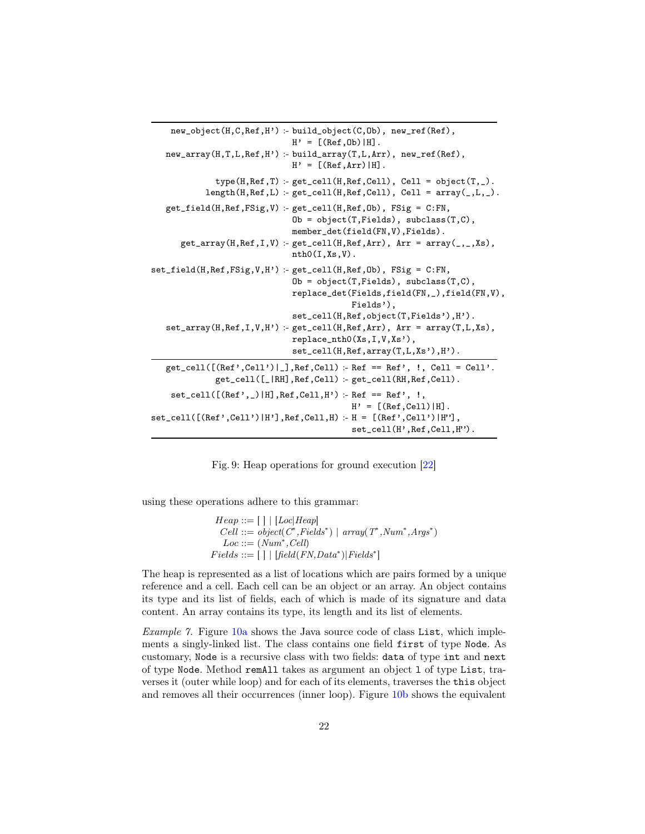```
new_object(H,C,Ref,H') :- build_object(C,Ob), new_ref(Ref),
                               H' = [(\text{Ref}, 0b) | H].new_array(H,T,L,Ref,H') :- build_array(T,L,Arr), new_ref(Ref),
                               H' = [(Ref, Arr) | H].type(H, Ref, T) :- get_{cell}(H, Ref, Cell), Cell = object(T, _).length(H, Ref, L) :- get_{cell}(H, Ref, Cell), Cell = array(,L, _).
   get_field(H,Ref,FSig,V) :- get_cell(H,Ref,Ob), FSig = C:FN,
                              0b = object(T, Fields), subclass(T, C),
                               member_det(field(FN,V),Fields).
      get_array(H,Ref,I,V) :- get_cell(H,Ref,Arr), Arr = array(\_,\_,Xs),
                               nth0(I,Xs,V).
set_field(H,Ref,FSig,V,H') :- get_cell(H,Ref,Ob), FSig = C:FN,
                               Ob = object(T, Fields), subclass(T, C),
                               replace_det(Fields,field(FN,_),field(FN,V),
                                            Fields'),
                               set_cell(H,Ref,object(T,Fields'),H').
   set_array(H,Ref,I,V,H') :- get_cell(H,Ref,Arr), Arr = array(T,L,Xs),
                               replace_nth0(Xs,I,V,Xs'),
                               set_cell(H,Ref,array(T,L,Xs'),H').
   get\_cell([(Ref', Cell')|_], Ref, Cell): Ref == Ref', !, Cell = Cell'.
              get_cell([_|RH],Ref,Cell) :- get_cell(RH,Ref,Cell).
    set_{cell}([Ref', _-)|H], Ref, Cell, H') :- Ref == Ref', !,
                                            H' = [(\text{Ref}, \text{Cell}) | H].set\_cell([(Ref', Cell')|H'],Ref,Cell,H) :- H = [(Ref',Cell')|H'],
                                            set_cell(H',Ref,Cell,H").
```
Fig. 9: Heap operations for ground execution [\[22\]](#page-45-13)

using these operations adhere to this grammar:

 $Heap ::= [] | [Loc|Heap]$  $Cell ::= object(C^*, Fields^*) | array(T^*,Num^*,Args^*)$  $Loc ::= (Num^*,Cell)$  $Fields ::= [\ ] | [field(FN, Data^*) | Fields^*]$ 

The heap is represented as a list of locations which are pairs formed by a unique reference and a cell. Each cell can be an object or an array. An object contains its type and its list of fields, each of which is made of its signature and data content. An array contains its type, its length and its list of elements.

<span id="page-21-0"></span>Example 7. Figure [10a](#page-22-0) shows the Java source code of class List, which implements a singly-linked list. The class contains one field first of type Node. As customary, Node is a recursive class with two fields: data of type int and next of type Node. Method remAll takes as argument an object l of type List, traverses it (outer while loop) and for each of its elements, traverses the this object and removes all their occurrences (inner loop). Figure [10b](#page-22-1) shows the equivalent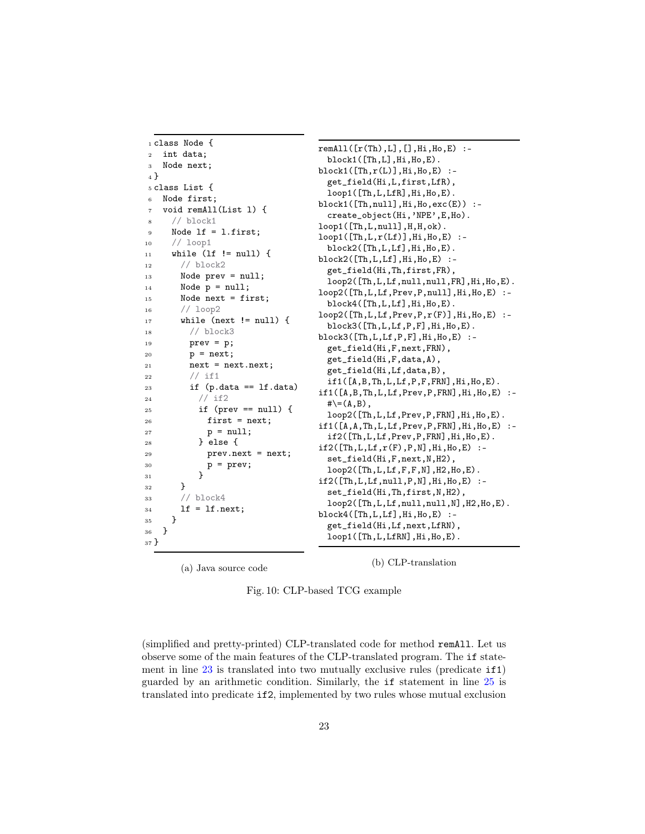```
1 class Node {
2 int data;
3 Node next;
4 }
5 class List {
6 Node first;
   7 void remAll(List l) {
     // block19 Node lf = l.first;
10 // loop1
11 while (lf != null) {
12 // block2
13 Node prev = null;
14 Node p = null;15 Node next = first;
16 // loop2
17 while (next != null) {
18 // block3
19 prev = p;
20 p = next;
21 next = next.next;
22 // if1
23 if (p.data == 1f.data)
24 // if2
25 if (prev == null) {
26 first = next;
p = null;28 } else {
29 prev.next = next;
30 p = prev;<br>31 }
31 }
32 }
33 // block4
34 lf = lf.next;
35 }
36 }
37 }
                                 remAll([r(Th),L],[],Hi,Ho,E) :-
                                   block1([Th,L],Hi,Ho,E).
                                 block1([Th,r(L)], Hi, Ho, E):
                                   get_field(Hi,L,first,LfR),
                                   loop1([Th,L,LfR],Hi,Ho,E).
                                 block1([Th,null],Hi,Ho,exc(E)) :-
                                   create_object(Hi,'NPE',E,Ho).
                                 loop1([Th,L,null],H,H,ok).
                                 loop1([Th,L,r(Lf)],Hi,Ho,E) :-
                                   block2([Th,L,Lf],Hi,Ho,E).
                                 block2([Th,L,Lf],Hi,Ho,E) :-
                                   get_field(Hi,Th,first,FR),
                                   loop2([Th,L,Lf,null,null,FR],Hi,Ho,E).
                                 loop2([Th,L,Lf,Prev,P,null],Hi,Ho,E) :-
                                   block4([Th,L,Lf],Hi,Ho,E).
                                 loop2([Th,L,L,f,Prev,P,r(F)], Hi, Ho,E):
                                   block3([Th,L,Lf,P,F],Hi,Ho,E).
                                 block3([Th,L,Lf,P,F],Hi,Ho,E) :-
                                   get_field(Hi,F,next,FRN),
                                   get_field(Hi,F,data,A),
                                   get_field(Hi,Lf,data,B),
                                   if1([A,B,Th,L,Lf,P,F,FRN],Hi,Ho,E).
                                 if1([A,B,Th,L,Lf,Prev,P,FRN],Hi,Ho,E) :-
                                   \# \equiv (A, B),
                                   loop2([Th,L,Lf,Prev,P,FRN],Hi,Ho,E).
                                 if1([A,A,Th,L,Lf,Prev,P,FRN], Hi, Ho,E):
                                   if2([Th,L,Lf,Prev,P,FRN],Hi,Ho,E).
                                 if2([Th,L,Lf,r(F),P,N],Hi, Ho,E):
                                   set_field(Hi,F,next,N,H2),
                                   loop2([Th,L,Lf,F,F,N],H2,Ho,E).
                                 if2([Th,L,Lf,null,P,N],Hi, Ho,E):
                                   set_field(Hi,Th,first,N,H2),
                                   loop2([Th,L,Lf,null,null,N],H2,Ho,E).
                                 block4([Th,L,L,ff],Hi, Ho, E):
                                   get_field(Hi,Lf,next,LfRN),
                                   loop1([Th,L,LfRN],Hi,Ho,E).
```
<span id="page-22-3"></span><span id="page-22-2"></span>(a) Java source code

<span id="page-22-1"></span>(b) CLP-translation

Fig. 10: CLP-based TCG example

(simplified and pretty-printed) CLP-translated code for method remAll. Let us observe some of the main features of the CLP-translated program. The if statement in line [23](#page-22-2) is translated into two mutually exclusive rules (predicate if1) guarded by an arithmetic condition. Similarly, the if statement in line [25](#page-22-3) is translated into predicate if2, implemented by two rules whose mutual exclusion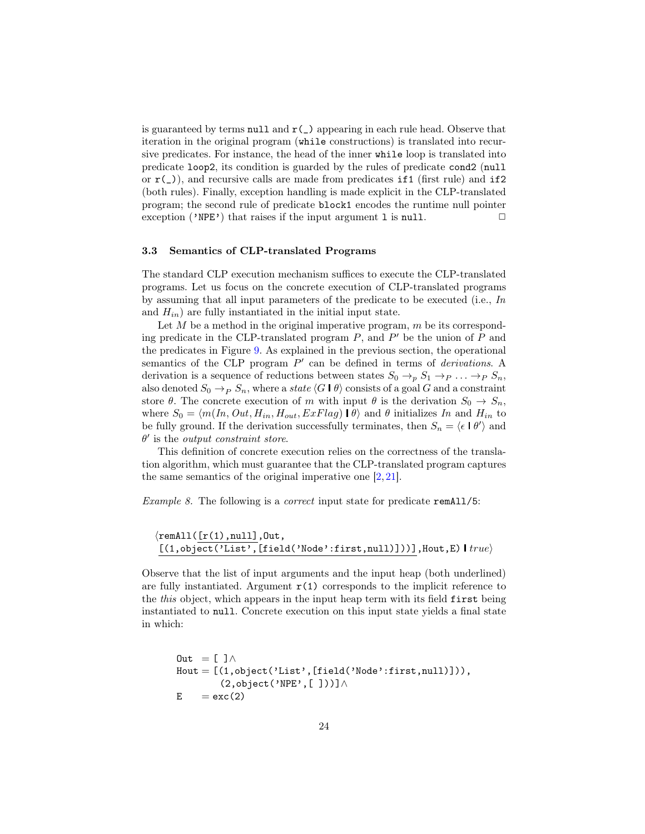is guaranteed by terms null and  $r(\_)$  appearing in each rule head. Observe that iteration in the original program (while constructions) is translated into recursive predicates. For instance, the head of the inner while loop is translated into predicate loop2, its condition is guarded by the rules of predicate cond2 (null or  $r(\_)$ , and recursive calls are made from predicates if 1 (first rule) and if 2 (both rules). Finally, exception handling is made explicit in the CLP-translated program; the second rule of predicate block1 encodes the runtime null pointer exception ('NPE') that raises if the input argument 1 is null.  $\Box$ 

#### 3.3 Semantics of CLP-translated Programs

The standard CLP execution mechanism suffices to execute the CLP-translated programs. Let us focus on the concrete execution of CLP-translated programs by assuming that all input parameters of the predicate to be executed (i.e., In and  $H_{in}$ ) are fully instantiated in the initial input state.

Let  $M$  be a method in the original imperative program,  $m$  be its corresponding predicate in the CLP-translated program  $P$ , and  $P'$  be the union of  $P$  and the predicates in Figure [9.](#page-21-1) As explained in the previous section, the operational semantics of the CLP program  $P'$  can be defined in terms of *derivations*. A derivation is a sequence of reductions between states  $S_0 \rightarrow_p S_1 \rightarrow_P \ldots \rightarrow_P S_n$ , also denoted  $S_0 \to_P S_n$ , where a state  $\langle G \mathbf{I} \theta \rangle$  consists of a goal G and a constraint store  $\theta$ . The concrete execution of m with input  $\theta$  is the derivation  $S_0 \to S_n$ , where  $S_0 = \langle m(In, Out, H_{in}, H_{out}, ExFlag) \mid \theta \rangle$  and  $\theta$  initializes In and  $H_{in}$  to be fully ground. If the derivation successfully terminates, then  $S_n = \langle \epsilon \mathbf{I} | \theta' \rangle$  and  $\theta'$  is the *output constraint store*.

This definition of concrete execution relies on the correctness of the translation algorithm, which must guarantee that the CLP-translated program captures the same semantics of the original imperative one [\[2,](#page-44-8) [21\]](#page-45-11).

Example 8. The following is a *correct* input state for predicate remAll/5:

```
\lvert \text{remAll}([\text{r}(1),\text{null}],0ut,
[(1,object('List',[field('Node':first,null)]))], Hout, E) |true\rangle
```
Observe that the list of input arguments and the input heap (both underlined) are fully instantiated. Argument  $r(1)$  corresponds to the implicit reference to the *this* object, which appears in the input heap term with its field first being instantiated to null. Concrete execution on this input state yields a final state in which:

```
Out = [ ] \wedgeHout = [(1,object('List',[field('Node':first,null)])),
        (2,object('NPE',[ ]))]∧
E = exc(2)
```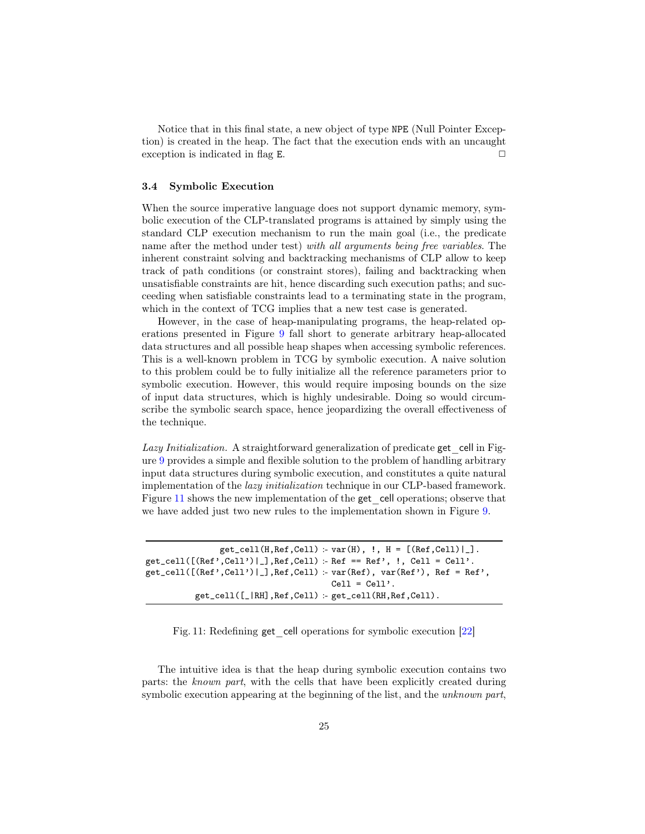Notice that in this final state, a new object of type NPE (Null Pointer Exception) is created in the heap. The fact that the execution ends with an uncaught exception is indicated in flag E.  $\Box$ 

#### 3.4 Symbolic Execution

When the source imperative language does not support dynamic memory, symbolic execution of the CLP-translated programs is attained by simply using the standard CLP execution mechanism to run the main goal (i.e., the predicate name after the method under test) with all arguments being free variables. The inherent constraint solving and backtracking mechanisms of CLP allow to keep track of path conditions (or constraint stores), failing and backtracking when unsatisfiable constraints are hit, hence discarding such execution paths; and succeeding when satisfiable constraints lead to a terminating state in the program, which in the context of TCG implies that a new test case is generated.

However, in the case of heap-manipulating programs, the heap-related operations presented in Figure [9](#page-21-1) fall short to generate arbitrary heap-allocated data structures and all possible heap shapes when accessing symbolic references. This is a well-known problem in TCG by symbolic execution. A naive solution to this problem could be to fully initialize all the reference parameters prior to symbolic execution. However, this would require imposing bounds on the size of input data structures, which is highly undesirable. Doing so would circumscribe the symbolic search space, hence jeopardizing the overall effectiveness of the technique.

Lazy Initialization. A straightforward generalization of predicate get cell in Figure [9](#page-21-1) provides a simple and flexible solution to the problem of handling arbitrary input data structures during symbolic execution, and constitutes a quite natural implementation of the lazy initialization technique in our CLP-based framework. Figure [11](#page-24-0) shows the new implementation of the get cell operations; observe that we have added just two new rules to the implementation shown in Figure [9.](#page-21-1)

<span id="page-24-0"></span>

| $get_{cell(H, Ref, Cell)}$ : $var(H), !, H = [(Ref, Cell)]_].$             |
|----------------------------------------------------------------------------|
| $get_{cell}([Ref', Cell') _], Ref, Cell)$ : Ref == Ref', !, Cell = Cell'.  |
| $get\_cell([Ref', Cell') _], Ref,[Cell): var(Ref), var(Ref'), Ref = Ref',$ |
| $Ce11 = Ce11'$ .                                                           |
| $get_{cell}([N_H],Ref,Cell)$ :- $get_{cell}(RH,Ref, Cell)$ .               |

Fig. 11: Redefining get cell operations for symbolic execution [\[22\]](#page-45-13)

The intuitive idea is that the heap during symbolic execution contains two parts: the known part, with the cells that have been explicitly created during symbolic execution appearing at the beginning of the list, and the *unknown part*,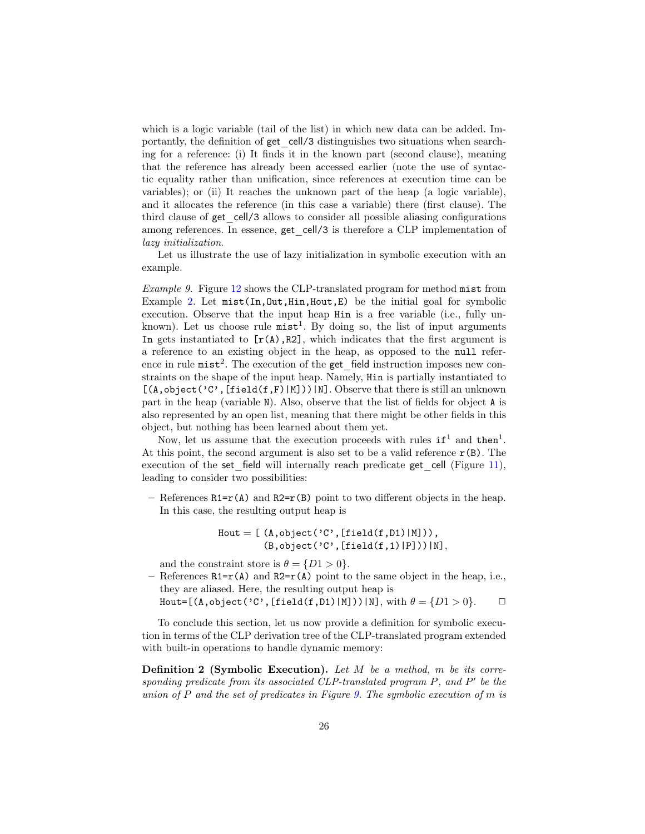which is a logic variable (tail of the list) in which new data can be added. Importantly, the definition of get\_cell/3 distinguishes two situations when searching for a reference: (i) It finds it in the known part (second clause), meaning that the reference has already been accessed earlier (note the use of syntactic equality rather than unification, since references at execution time can be variables); or (ii) It reaches the unknown part of the heap (a logic variable), and it allocates the reference (in this case a variable) there (first clause). The third clause of get\_cell/3 allows to consider all possible aliasing configurations among references. In essence, get cell/3 is therefore a CLP implementation of lazy initialization.

Let us illustrate the use of lazy initialization in symbolic execution with an example.

Example 9. Figure [12](#page-26-0) shows the CLP-translated program for method mist from Example [2.](#page-5-3) Let mist(In, Out, Hin, Hout, E) be the initial goal for symbolic execution. Observe that the input heap Hin is a free variable (i.e., fully unknown). Let us choose rule  $mist<sup>1</sup>$ . By doing so, the list of input arguments In gets instantiated to  $[r(A), R2]$ , which indicates that the first argument is a reference to an existing object in the heap, as opposed to the null reference in rule  $m$ ist<sup>2</sup>. The execution of the get\_field instruction imposes new constraints on the shape of the input heap. Namely, Hin is partially instantiated to  $[(A, object('C', [field(f, F) | M])) | N]$ . Observe that there is still an unknown part in the heap (variable N). Also, observe that the list of fields for object A is also represented by an open list, meaning that there might be other fields in this object, but nothing has been learned about them yet.

Now, let us assume that the execution proceeds with rules  $if<sup>1</sup>$  and then<sup>1</sup>. At this point, the second argument is also set to be a valid reference  $r(B)$ . The execution of the set field will internally reach predicate get cell (Figure [11\)](#page-24-0), leading to consider two possibilities:

– References  $R1=r(A)$  and  $R2=r(B)$  point to two different objects in the heap. In this case, the resulting output heap is

> $Hout = [ (A, object('C', [field(f, D1)|M]))$ ,  $(B, object('C', [field(f,1)|P]))|N],$

and the constraint store is  $\theta = \{D1 > 0\}.$ 

– References  $R1=r(A)$  and  $R2=r(A)$  point to the same object in the heap, i.e., they are aliased. Here, the resulting output heap is

Hout=[(A,object('C',[field(f,D1)|M]))|N], with  $\theta = \{D1 > 0\}$ .  $\Box$ 

To conclude this section, let us now provide a definition for symbolic execution in terms of the CLP derivation tree of the CLP-translated program extended with built-in operations to handle dynamic memory:

**Definition 2 (Symbolic Execution).** Let  $M$  be a method,  $m$  be its corresponding predicate from its associated CLP-translated program  $P$ , and  $P'$  be the union of P and the set of predicates in Figure [9.](#page-21-1) The symbolic execution of m is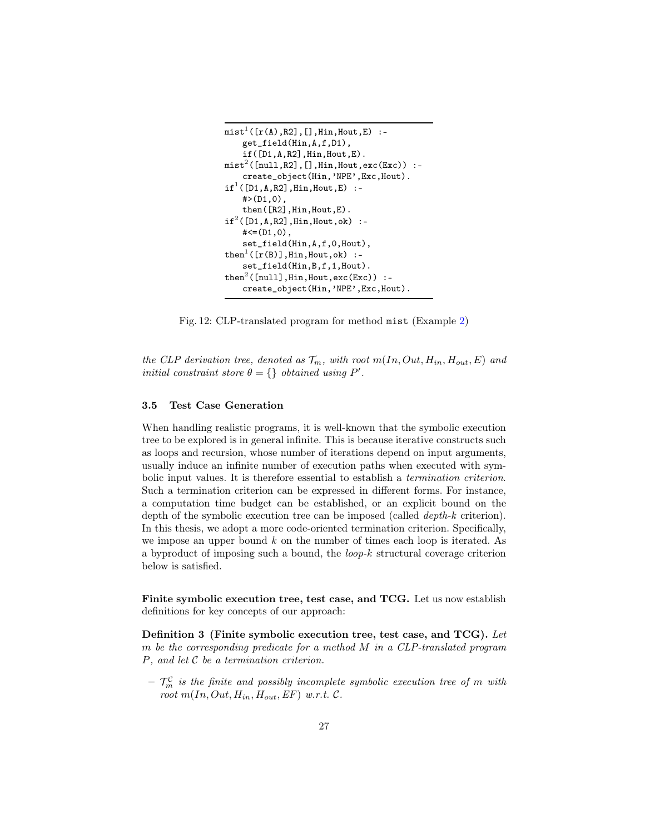```
{\tt mist}^1([{\tt r}({\tt A})\,, {\tt R2}] , [],Hin,Hout,E) :-
    get_field(Hin,A,f,D1),
    if([D1,A,R2],Hin,Hout,E).
<code>mist^2([null,R2],[],Hin,Hout,exc(Exc))</code> :-
    create_object(Hin,'NPE',Exc,Hout).
if^1([D1,A,R2],Hint, Hout, E):
    \#>(D1,0),then([R2],Hin,Hout,E).
if^2([D1,A,R2],Hint, Hout, ok) :-
    #<=(D1,0),
    set_field(Hin,A,f,0,Hout),
then^1([r(B)],Hin,Hout,ok) :-
    set_field(Hin,B,f,1,Hout).
then^2([null],Hint, Hout, exc(Exc)) :-
    create_object(Hin,'NPE',Exc,Hout).
```
Fig. 12: CLP-translated program for method mist (Example [2\)](#page-5-3)

the CLP derivation tree, denoted as  $\mathcal{T}_m$ , with root  $m(In, Out, H_{in}, H_{out}, E)$  and initial constraint store  $\theta = \{\}$  obtained using P'.

#### 3.5 Test Case Generation

When handling realistic programs, it is well-known that the symbolic execution tree to be explored is in general infinite. This is because iterative constructs such as loops and recursion, whose number of iterations depend on input arguments, usually induce an infinite number of execution paths when executed with symbolic input values. It is therefore essential to establish a termination criterion. Such a termination criterion can be expressed in different forms. For instance, a computation time budget can be established, or an explicit bound on the depth of the symbolic execution tree can be imposed (called *depth-k* criterion). In this thesis, we adopt a more code-oriented termination criterion. Specifically, we impose an upper bound  $k$  on the number of times each loop is iterated. As a byproduct of imposing such a bound, the loop-k structural coverage criterion below is satisfied.

Finite symbolic execution tree, test case, and TCG. Let us now establish definitions for key concepts of our approach:

<span id="page-26-1"></span>Definition 3 (Finite symbolic execution tree, test case, and TCG). Let m be the corresponding predicate for a method M in a CLP-translated program P, and let C be a termination criterion.

 $\mathcal{T}_m^{\mathcal{C}}$  is the finite and possibly incomplete symbolic execution tree of  $m$  with root  $m(In, Out, H_{in}, H_{out}, EF)$  w.r.t.  $C$ .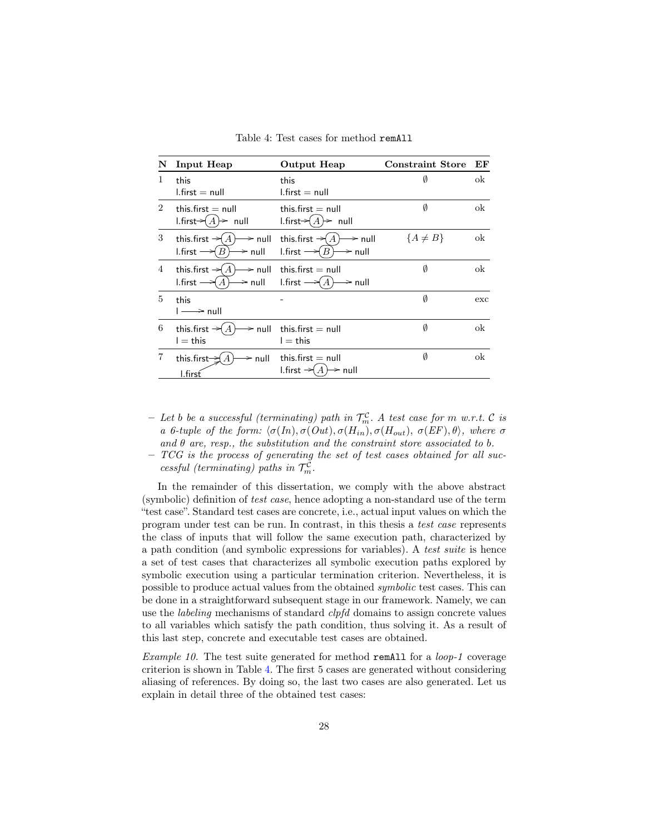<span id="page-27-0"></span>

| N                           | Input Heap                                                                                                          | Output Heap                                                                                 | <b>Constraint Store</b> | EF  |
|-----------------------------|---------------------------------------------------------------------------------------------------------------------|---------------------------------------------------------------------------------------------|-------------------------|-----|
| 1                           | this<br>$l$ . first $=$ null                                                                                        | this<br>$l$ . first $=$ null                                                                | Ø                       | ok  |
| $\mathcal{D}_{\mathcal{L}}$ | this.first $=$ null<br>l.first $\prec(A)$ null                                                                      | this.first $=$ null<br>l.first $\prec(A)$ null                                              | Ø                       | ok  |
| 3                           | $\rightarrow$ null<br>this.first $\Rightarrow$ A)<br>$1$ .first $\rightarrow$<br>$B^{\prime}$<br>$\rightarrow$ null | this.first $\Rightarrow$ (A)<br>$\rightarrow$ null<br>l.first $\rightarrow$ $(B)$<br>→ null | ${A \neq B}$            | ok  |
| 4                           | this.first $\Rightarrow$ A)<br>$l$ .first $\longrightarrow$<br>$A^*$                                                | $\rightarrow$ null this.first = null<br>$\rightarrow$ null                                  | Ø                       | ok  |
| 5                           | this<br>$\longmapsto$ null                                                                                          |                                                                                             | Ø                       | exc |
| 6                           | this.first $\Rightarrow$ (A)<br>$I =$ this                                                                          | $\rightarrow$ null this.first = null<br>$I =$ this                                          | Ø                       | ok  |
| 7                           | $\succ$ null<br>this.first $\rightarrow$<br>A<br>l.first                                                            | this.first $=$ null<br>l.first $\rightarrow$<br>$\,$ null                                   | Ø                       | ok  |

Table 4: Test cases for method remAll

- Let b be a successful (terminating) path in  $\mathcal{T}_m^{\mathcal{C}}$ . A test case for m w.r.t.  $\mathcal C$  is a 6-tuple of the form:  $\langle \sigma(n), \sigma(Out), \sigma(H_{in}), \sigma(H_{out}), \sigma(EF), \theta \rangle$ , where  $\sigma$ and  $\theta$  are, resp., the substitution and the constraint store associated to b.
- TCG is the process of generating the set of test cases obtained for all successful (terminating) paths in  $\mathcal{T}_m^{\mathcal{C}}$ .

In the remainder of this dissertation, we comply with the above abstract (symbolic) definition of test case, hence adopting a non-standard use of the term "test case". Standard test cases are concrete, i.e., actual input values on which the program under test can be run. In contrast, in this thesis a test case represents the class of inputs that will follow the same execution path, characterized by a path condition (and symbolic expressions for variables). A test suite is hence a set of test cases that characterizes all symbolic execution paths explored by symbolic execution using a particular termination criterion. Nevertheless, it is possible to produce actual values from the obtained symbolic test cases. This can be done in a straightforward subsequent stage in our framework. Namely, we can use the *labeling* mechanisms of standard *clpfd* domains to assign concrete values to all variables which satisfy the path condition, thus solving it. As a result of this last step, concrete and executable test cases are obtained.

Example 10. The test suite generated for method remAll for a loop-1 coverage criterion is shown in Table [4.](#page-27-0) The first 5 cases are generated without considering aliasing of references. By doing so, the last two cases are also generated. Let us explain in detail three of the obtained test cases: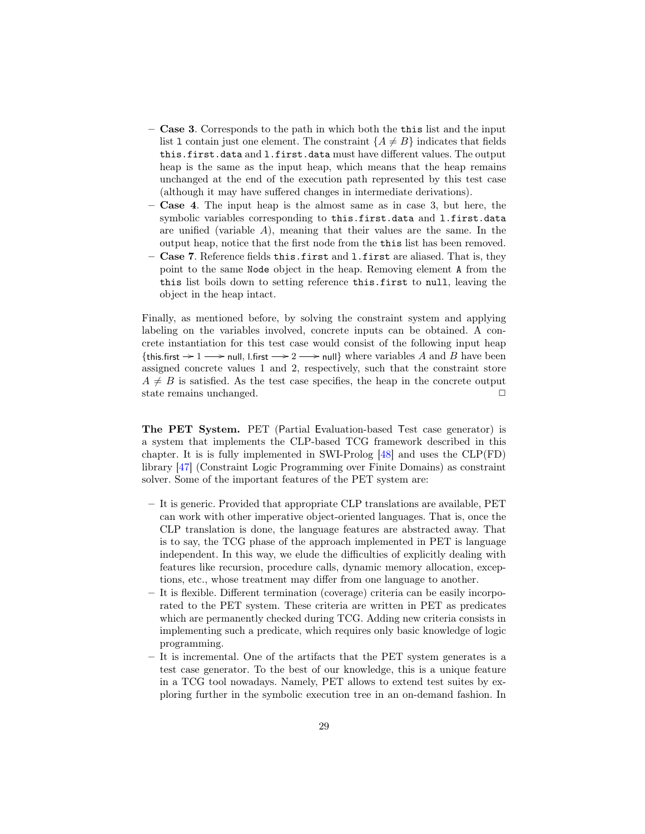- Case 3. Corresponds to the path in which both the this list and the input list 1 contain just one element. The constraint  $\{A \neq B\}$  indicates that fields this.first.data and l.first.data must have different values. The output heap is the same as the input heap, which means that the heap remains unchanged at the end of the execution path represented by this test case (although it may have suffered changes in intermediate derivations).
- Case 4. The input heap is the almost same as in case 3, but here, the symbolic variables corresponding to this.first.data and l.first.data are unified (variable  $A$ ), meaning that their values are the same. In the output heap, notice that the first node from the this list has been removed.
- Case 7. Reference fields this.first and l.first are aliased. That is, they point to the same Node object in the heap. Removing element A from the this list boils down to setting reference this.first to null, leaving the object in the heap intact.

Finally, as mentioned before, by solving the constraint system and applying labeling on the variables involved, concrete inputs can be obtained. A concrete instantiation for this test case would consist of the following input heap {this.first  $\rightarrow 1 \rightarrow$  null, l.first  $\rightarrow 2 \rightarrow$  null} where variables A and B have been assigned concrete values 1 and 2, respectively, such that the constraint store  $A \neq B$  is satisfied. As the test case specifies, the heap in the concrete output state remains unchanged.  $\Box$ 

The PET System. PET (Partial Evaluation-based Test case generator) is a system that implements the CLP-based TCG framework described in this chapter. It is is fully implemented in SWI-Prolog [\[48\]](#page-46-11) and uses the CLP(FD) library [\[47\]](#page-46-10) (Constraint Logic Programming over Finite Domains) as constraint solver. Some of the important features of the PET system are:

- It is generic. Provided that appropriate CLP translations are available, PET can work with other imperative object-oriented languages. That is, once the CLP translation is done, the language features are abstracted away. That is to say, the TCG phase of the approach implemented in PET is language independent. In this way, we elude the difficulties of explicitly dealing with features like recursion, procedure calls, dynamic memory allocation, exceptions, etc., whose treatment may differ from one language to another.
- It is flexible. Different termination (coverage) criteria can be easily incorporated to the PET system. These criteria are written in PET as predicates which are permanently checked during TCG. Adding new criteria consists in implementing such a predicate, which requires only basic knowledge of logic programming.
- It is incremental. One of the artifacts that the PET system generates is a test case generator. To the best of our knowledge, this is a unique feature in a TCG tool nowadays. Namely, PET allows to extend test suites by exploring further in the symbolic execution tree in an on-demand fashion. In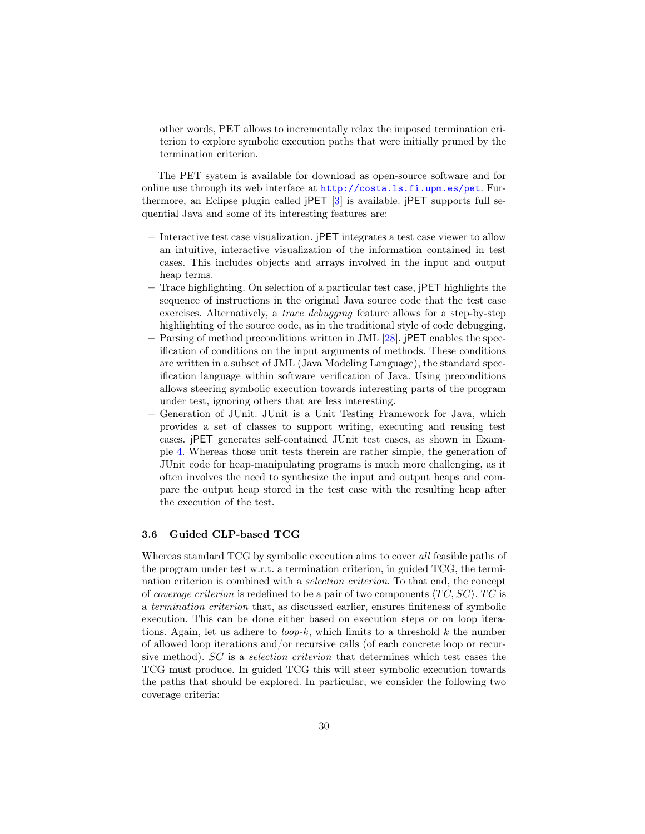other words, PET allows to incrementally relax the imposed termination criterion to explore symbolic execution paths that were initially pruned by the termination criterion.

The PET system is available for download as open-source software and for online use through its web interface at <http://costa.ls.fi.upm.es/pet>. Furthermore, an Eclipse plugin called jPET [\[3\]](#page-44-9) is available. jPET supports full sequential Java and some of its interesting features are:

- Interactive test case visualization. jPET integrates a test case viewer to allow an intuitive, interactive visualization of the information contained in test cases. This includes objects and arrays involved in the input and output heap terms.
- Trace highlighting. On selection of a particular test case, jPET highlights the sequence of instructions in the original Java source code that the test case exercises. Alternatively, a trace debugging feature allows for a step-by-step highlighting of the source code, as in the traditional style of code debugging.
- Parsing of method preconditions written in JML [\[28\]](#page-45-14). jPET enables the specification of conditions on the input arguments of methods. These conditions are written in a subset of JML (Java Modeling Language), the standard specification language within software verification of Java. Using preconditions allows steering symbolic execution towards interesting parts of the program under test, ignoring others that are less interesting.
- Generation of JUnit. JUnit is a Unit Testing Framework for Java, which provides a set of classes to support writing, executing and reusing test cases. jPET generates self-contained JUnit test cases, as shown in Example [4.](#page-9-0) Whereas those unit tests therein are rather simple, the generation of JUnit code for heap-manipulating programs is much more challenging, as it often involves the need to synthesize the input and output heaps and compare the output heap stored in the test case with the resulting heap after the execution of the test.

## <span id="page-29-0"></span>3.6 Guided CLP-based TCG

Whereas standard TCG by symbolic execution aims to cover all feasible paths of the program under test w.r.t. a termination criterion, in guided TCG, the termination criterion is combined with a selection criterion. To that end, the concept of coverage criterion is redefined to be a pair of two components  $\langle TC, SC \rangle$ . TC is a termination criterion that, as discussed earlier, ensures finiteness of symbolic execution. This can be done either based on execution steps or on loop iterations. Again, let us adhere to *loop-k*, which limits to a threshold  $k$  the number of allowed loop iterations and/or recursive calls (of each concrete loop or recursive method). SC is a selection criterion that determines which test cases the TCG must produce. In guided TCG this will steer symbolic execution towards the paths that should be explored. In particular, we consider the following two coverage criteria: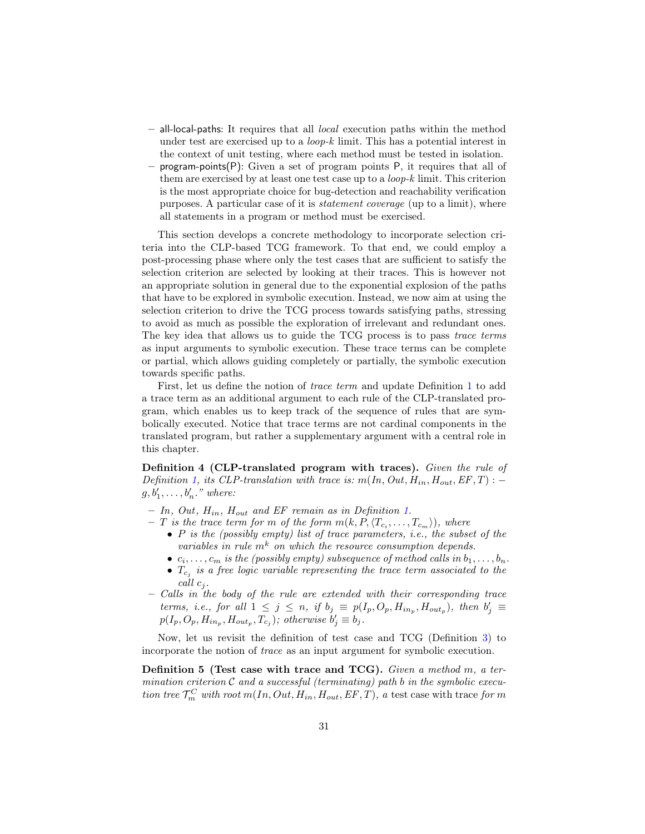- all-local-paths: It requires that all local execution paths within the method under test are exercised up to a *loop-k* limit. This has a potential interest in the context of unit testing, where each method must be tested in isolation.
- $program$ -points $(P)$ : Given a set of program points P, it requires that all of them are exercised by at least one test case up to a loop-k limit. This criterion is the most appropriate choice for bug-detection and reachability verification purposes. A particular case of it is statement coverage (up to a limit), where all statements in a program or method must be exercised.

This section develops a concrete methodology to incorporate selection criteria into the CLP-based TCG framework. To that end, we could employ a post-processing phase where only the test cases that are sufficient to satisfy the selection criterion are selected by looking at their traces. This is however not an appropriate solution in general due to the exponential explosion of the paths that have to be explored in symbolic execution. Instead, we now aim at using the selection criterion to drive the TCG process towards satisfying paths, stressing to avoid as much as possible the exploration of irrelevant and redundant ones. The key idea that allows us to guide the TCG process is to pass trace terms as input arguments to symbolic execution. These trace terms can be complete or partial, which allows guiding completely or partially, the symbolic execution towards specific paths.

First, let us define the notion of trace term and update Definition [1](#page-18-1) to add a trace term as an additional argument to each rule of the CLP-translated program, which enables us to keep track of the sequence of rules that are symbolically executed. Notice that trace terms are not cardinal components in the translated program, but rather a supplementary argument with a central role in this chapter.

Definition 4 (CLP-translated program with traces). Given the rule of Definition [1,](#page-18-1) its CLP-translation with trace is:  $m(In, Out, H_{in}, H_{out}, EF, T)$  : −  $g, b'_1, \ldots, b'_n$ ." where:

- In, Out,  $H_{in}$ ,  $H_{out}$  and EF remain as in Definition [1.](#page-18-1)
- $-$  T is the trace term for m of the form  $m(k, P, \langle T_{c_i}, \ldots, T_{c_m} \rangle)$ , where
	- $P$  is the (possibly empty) list of trace parameters, i.e., the subset of the variables in rule  $m^k$  on which the resource consumption depends.
		- $c_i, \ldots, c_m$  is the (possibly empty) subsequence of method calls in  $b_1, \ldots, b_n$ .
	- $T_{c_j}$  is a free logic variable representing the trace term associated to the  $\overline{call} c_i$ .
- Calls in the body of the rule are extended with their corresponding trace terms, i.e., for all  $1 \leq j \leq n$ , if  $b_j \equiv p(I_p, O_p, H_{in_p}, H_{out_p})$ , then  $b'_j \equiv$  $p(I_p, O_p, H_{in_p}, H_{out_p}, T_{c_j})$ ; otherwise  $b'_j \equiv b_j$ .

Now, let us revisit the definition of test case and TCG (Definition [3\)](#page-26-1) to incorporate the notion of trace as an input argument for symbolic execution.

**Definition 5** (Test case with trace and TCG). Given a method m, a termination criterion  $C$  and a successful (terminating) path b in the symbolic execution tree  $\mathcal{T}_m^C$  with root  $m(In, Out, H_{in}, H_{out}, EF, T)$ , a test case with trace for m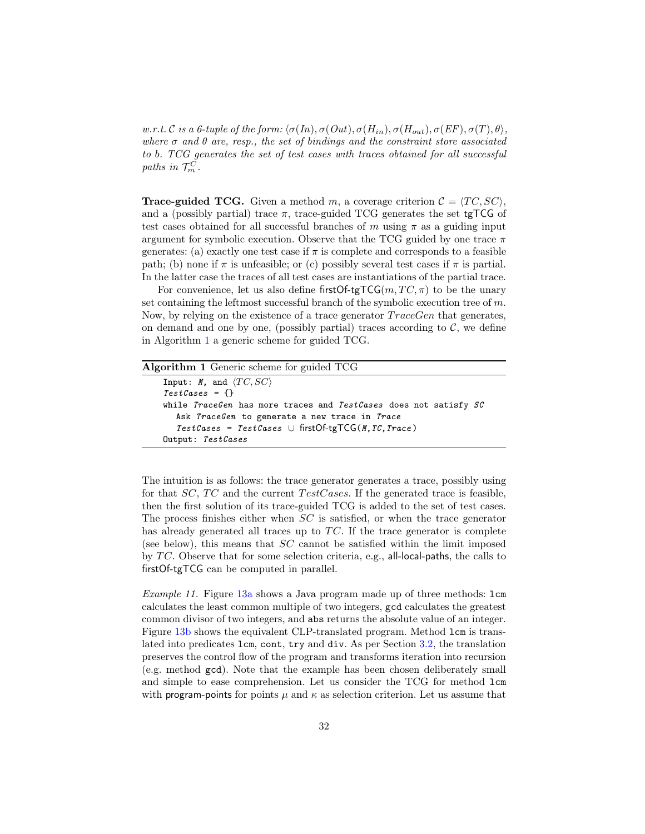w.r.t. C is a 6-tuple of the form:  $\langle \sigma(n), \sigma(Out), \sigma(H_{in}), \sigma(H_{out}), \sigma(EF), \sigma(T), \theta \rangle$ , where  $\sigma$  and  $\theta$  are, resp., the set of bindings and the constraint store associated to b. TCG generates the set of test cases with traces obtained for all successful paths in  $\mathcal{T}_m^C$ .

**Trace-guided TCG.** Given a method m, a coverage criterion  $C = \langle TC, SC \rangle$ , and a (possibly partial) trace  $\pi$ , trace-guided TCG generates the set tgTCG of test cases obtained for all successful branches of m using  $\pi$  as a guiding input argument for symbolic execution. Observe that the TCG guided by one trace  $\pi$ generates: (a) exactly one test case if  $\pi$  is complete and corresponds to a feasible path; (b) none if  $\pi$  is unfeasible; or (c) possibly several test cases if  $\pi$  is partial. In the latter case the traces of all test cases are instantiations of the partial trace.

For convenience, let us also define firstOf-tgTCG $(m, TC, \pi)$  to be the unary set containing the leftmost successful branch of the symbolic execution tree of  $m$ . Now, by relying on the existence of a trace generator  $TraceGen$  that generates, on demand and one by one, (possibly partial) traces according to  $\mathcal{C}$ , we define in Algorithm [1](#page-31-0) a generic scheme for guided TCG.

<span id="page-31-0"></span>

| Algorithm 1 Generic scheme for guided TCG                        |
|------------------------------------------------------------------|
| Input: $M$ , and $\langle TC, SC \rangle$                        |
| $TestCases = \{\}$                                               |
| while TraceGen has more traces and TestCases does not satisfy SC |
| Ask TraceGen to generate a new trace in Trace                    |
| $TestCases = TestCases \cup firstOf-tgTCG(M, TC, Trace)$         |
| Output: TestCases                                                |
|                                                                  |

The intuition is as follows: the trace generator generates a trace, possibly using for that  $SC$ ,  $TC$  and the current  $TestCase$ . If the generated trace is feasible, then the first solution of its trace-guided TCG is added to the set of test cases. The process finishes either when SC is satisfied, or when the trace generator has already generated all traces up to  $TC$ . If the trace generator is complete (see below), this means that SC cannot be satisfied within the limit imposed by  $TC$ . Observe that for some selection criteria, e.g., all-local-paths, the calls to firstOf-tgTCG can be computed in parallel.

*Example 11.* Figure [13a](#page-32-0) shows a Java program made up of three methods:  $lcm$ calculates the least common multiple of two integers, gcd calculates the greatest common divisor of two integers, and abs returns the absolute value of an integer. Figure [13b](#page-32-1) shows the equivalent CLP-translated program. Method 1cm is translated into predicates lcm, cont, try and div. As per Section [3.2,](#page-18-2) the translation preserves the control flow of the program and transforms iteration into recursion (e.g. method gcd). Note that the example has been chosen deliberately small and simple to ease comprehension. Let us consider the TCG for method lcm with program-points for points  $\mu$  and  $\kappa$  as selection criterion. Let us assume that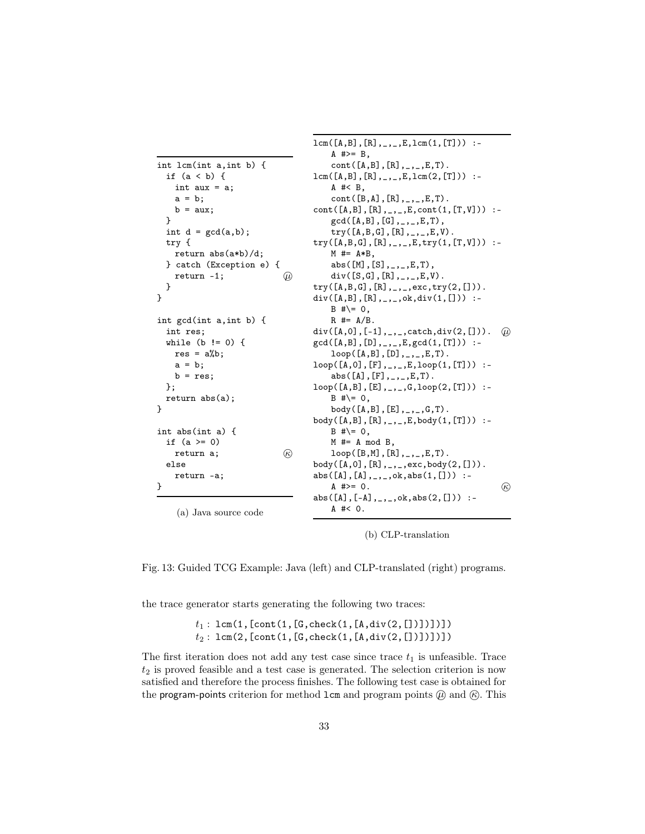```
int lcm(int a,int b) {
  if (a < b) {
   int aux = a;
    a = b;b = aux;}
  int d = \gcd(a, b);
  try {
   return abs(a*b)/d;
  } catch (Exception e) {
   return -1; \qquad \qquad \qquad \textcircled{h}}
}
int gcd(int a,int b) {
  int res;
  while (b != 0) {
   res = a/b;a = b;b = res;};
  return abs(a);
}
int abs(int a) {
  if (a \ge 0)return a; \qquad \qquad (\kappa)else
    return -a;
}
    (a) Java source code
                                    lcm([A,B],[R],_{-,-,-},E,lcm(1,[T])) :-
                                         A #>= B,
                                         cont([A,B],[R],_{-,-},E,T).
                                     lcm([A,B],[R],_{-,-},E,lcm(2,[T])) :-
                                         A #< B,
                                         cont([B,A],[R],_{-,-},E,T).
                                     cont([A, B], [R], ..., E, cont(1, [T, V])) :-
                                         gcd([A,B],[G],...,E,T),
                                         try([A,B,G],[R],\_,E,V).try([A,B,G],[R],_{-,-},E,try(1,[T,V])) :-
                                        M \neq A*B,
                                         \mathtt{abs}([M],[S],\_,\_,E,T),
                                         div([S,G],[R],_{-,-},E,V).
                                     try([A,B,G],[R],_{-,-},exc,try(2,[])).
                                     div([A,B],[R], _{-}, _{0}k,div(1,[])) :-
                                         B \# \geq 0,
                                         R #= A/B.
                                     div([A,0],[-1],_,_,catch,div(2,[])). \omegagcd([A,B],[D],...,E,gcd(1,[T])) :-
                                         loop([A,B],[D],_,_,E,T).
                                     loop([A, 0], [F], ..., E, loop(1, [T])) :-
                                         abs ([A], [F], \_, E, E, T).
                                     loop([A,B],[E],_{-,-},G,loop(2,[T])) :-
                                         B \# \geq 0,
                                         body([A,B],[E],\_,\_,G,T).
                                    body([A, B],[R], _{-, -},E, body(1,[T])) :-
                                         B \# \ = 0,
                                         M \neq A \mod B,
                                         \texttt{loop}(\texttt{[B,M]},\texttt{[R]},\_,\_,\_\},E,T) .
                                     body([A,0],[R],_,_,exc,body(2,[])).
                                     abs([A], [A], ..., sk, abs(1, [])) :-
                                         A #>= 0. \qquad \qquad \textcircled{k}abs([A],[-A],_,_,ok,abs(2,[])) :-
                                         A #< 0.
```
<span id="page-32-1"></span>(b) CLP-translation

Fig. 13: Guided TCG Example: Java (left) and CLP-translated (right) programs.

the trace generator starts generating the following two traces:

 $t_1: \text{lcm}(1, [\text{cont}(1, [G, \text{check}(1, [A, \text{div}(2, []))]]))])$  $t_2: \text{lcm}(2, [\text{cont}(1, [G, \text{check}(1, [A, \text{div}(2, []]))]]))$ 

The first iteration does not add any test case since trace  $t_1$  is unfeasible. Trace  $t_2$  is proved feasible and a test case is generated. The selection criterion is now satisfied and therefore the process finishes. The following test case is obtained for the program-points criterion for method 1cm and program points  $(\hat{\mu})$  and  $(\hat{\kappa})$ . This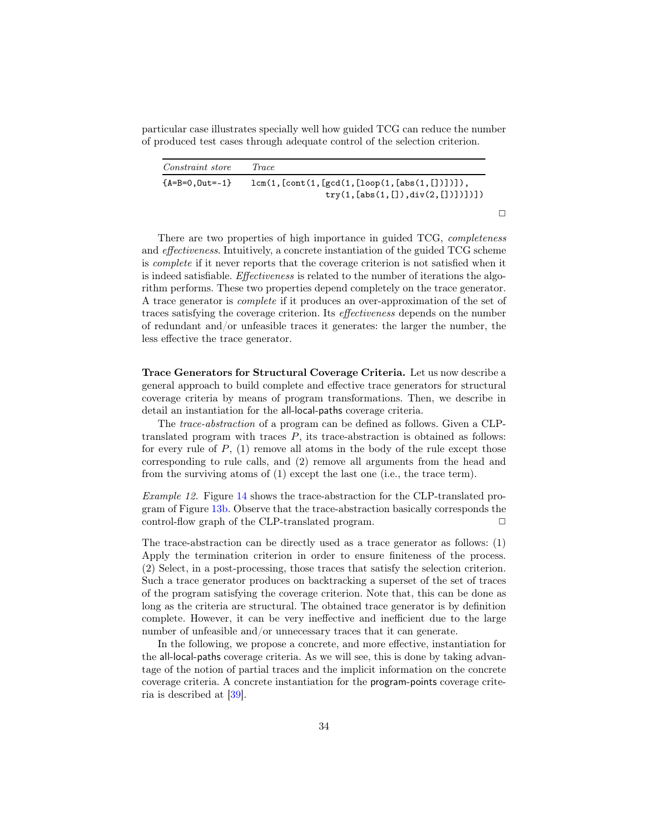particular case illustrates specially well how guided TCG can reduce the number of produced test cases through adequate control of the selection criterion.

| <i>Constraint store</i> | Trace                                               |
|-------------------------|-----------------------------------------------------|
| ${A=B=0.0ut=-1}$        | $lcm(1, [cont(1, [gcd(1, [loop(1, [abs(1, [])])]),$ |
|                         | try(1, [abs(1, []), div(2, [])])]                   |

 $\Box$ 

There are two properties of high importance in guided TCG, completeness and effectiveness. Intuitively, a concrete instantiation of the guided TCG scheme is complete if it never reports that the coverage criterion is not satisfied when it is indeed satisfiable. Effectiveness is related to the number of iterations the algorithm performs. These two properties depend completely on the trace generator. A trace generator is complete if it produces an over-approximation of the set of traces satisfying the coverage criterion. Its effectiveness depends on the number of redundant and/or unfeasible traces it generates: the larger the number, the less effective the trace generator.

Trace Generators for Structural Coverage Criteria. Let us now describe a general approach to build complete and effective trace generators for structural coverage criteria by means of program transformations. Then, we describe in detail an instantiation for the all-local-paths coverage criteria.

The trace-abstraction of a program can be defined as follows. Given a CLPtranslated program with traces  $P$ , its trace-abstraction is obtained as follows: for every rule of  $P$ , (1) remove all atoms in the body of the rule except those corresponding to rule calls, and (2) remove all arguments from the head and from the surviving atoms of (1) except the last one (i.e., the trace term).

Example 12. Figure [14](#page-34-0) shows the trace-abstraction for the CLP-translated program of Figure [13b.](#page-32-1) Observe that the trace-abstraction basically corresponds the control-flow graph of the CLP-translated program.  $\Box$ 

The trace-abstraction can be directly used as a trace generator as follows: (1) Apply the termination criterion in order to ensure finiteness of the process. (2) Select, in a post-processing, those traces that satisfy the selection criterion. Such a trace generator produces on backtracking a superset of the set of traces of the program satisfying the coverage criterion. Note that, this can be done as long as the criteria are structural. The obtained trace generator is by definition complete. However, it can be very ineffective and inefficient due to the large number of unfeasible and/or unnecessary traces that it can generate.

In the following, we propose a concrete, and more effective, instantiation for the all-local-paths coverage criteria. As we will see, this is done by taking advantage of the notion of partial traces and the implicit information on the concrete coverage criteria. A concrete instantiation for the program-points coverage criteria is described at [\[39\]](#page-46-12).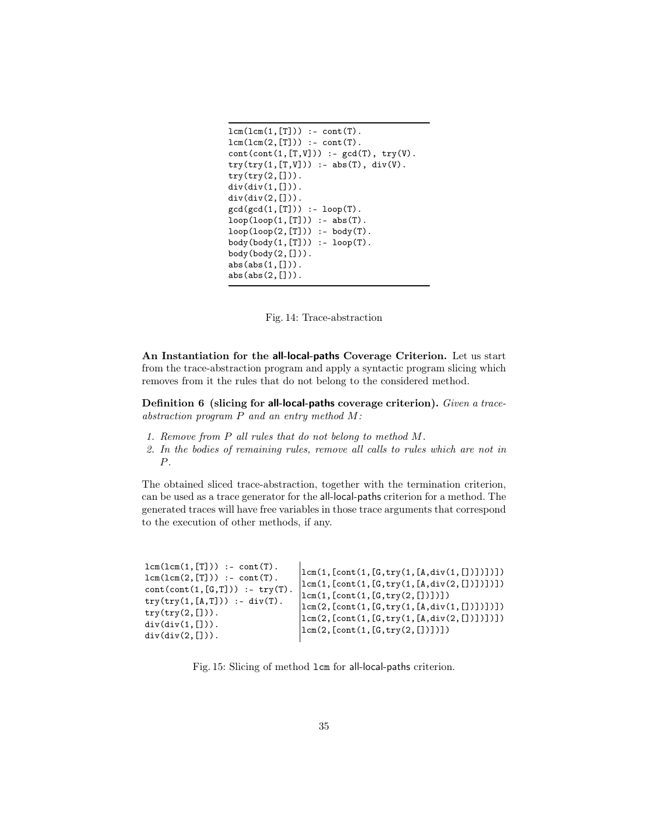<span id="page-34-0"></span>

| $lcm(lcm(1,[T]))$ :- $cont(T)$ .                 |
|--------------------------------------------------|
| $lcm(lcm(2,[T]))$ :- $cont(T)$ .                 |
| $cont(cont(1, [T, V]))$ :- $gcd(T)$ , $try(V)$ . |
| $try(try(1, [T, V])) : = abs(T), div(V).$        |
| $try(try(2, []))$ .                              |
| $div(div(1, []))$ .                              |
| $div(div(2, []))$ .                              |
| $gcd(gcd(1, [T]))$ :- $loop(T)$ .                |
| $loop(loop(1, [T]))$ :- abs(T).                  |
| $loop(loop(2, [T]))$ :- $body(T)$ .              |
| $body(body(1, [T]))$ :- $loop(T)$ .              |
| body(body(2, []).                                |
| $abs(abs(1, []))$ .                              |
| $abs(abs(2, []))$ .                              |

Fig. 14: Trace-abstraction

An Instantiation for the all-local-paths Coverage Criterion. Let us start from the trace-abstraction program and apply a syntactic program slicing which removes from it the rules that do not belong to the considered method.

<span id="page-34-2"></span>Definition 6 (slicing for all-local-paths coverage criterion). Given a traceabstraction program  $P$  and an entry method  $M$ :

- 1. Remove from P all rules that do not belong to method M.
- 2. In the bodies of remaining rules, remove all calls to rules which are not in P.

The obtained sliced trace-abstraction, together with the termination criterion, can be used as a trace generator for the all-local-paths criterion for a method. The generated traces will have free variables in those trace arguments that correspond to the execution of other methods, if any.

```
lcm(lcm(1,[T])) :- cont(T).
lcm(lcm(2,[T])) :- cont(T).
cont(cont(1,[G,T])) := try(T).
try(try(1,[A,T])) :- div(T).
try(try(2,[])).
div(div(1,[])).
div(div(2,[])).
                                \lceil lcm(1,[Cont(1,[G,try(1,[A,div(1,[]])])])]lcm(1,[cont(1,[G,try(1,[A,div(2,[])])])])
                                lcm(1,[cont(1,[G,try(2,[])])])
                                lcm(2,[cont(1,[G,try(1,[A,div(1,[])])])])
                                lcm(2,[cont(1,[G,try(1,[A,div(2,[])])])])
                                lcm(2,[cont(1,[G,try(2,[])])])
```
Fig. 15: Slicing of method lcm for all-local-paths criterion.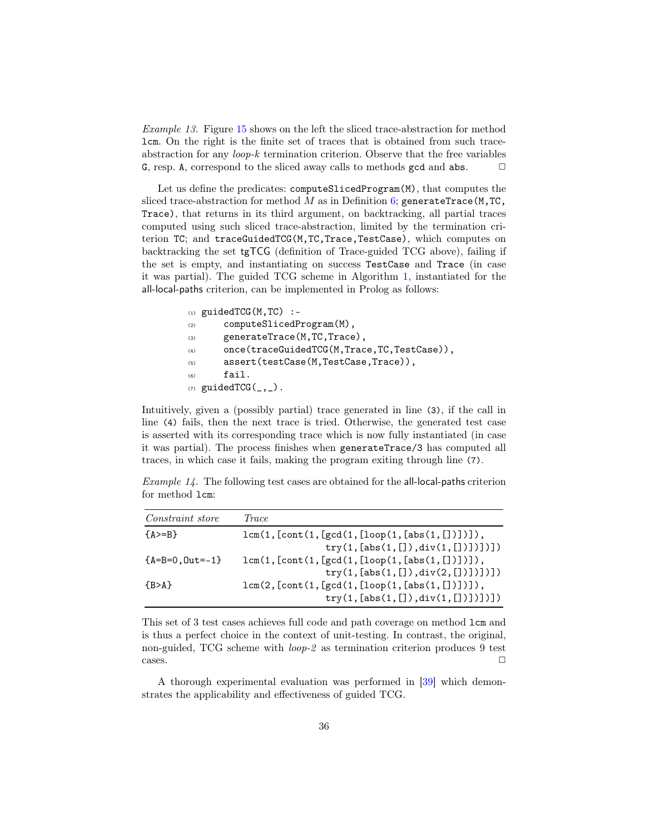Example 13. Figure [15](#page-34-1) shows on the left the sliced trace-abstraction for method lcm. On the right is the finite set of traces that is obtained from such traceabstraction for any *loop-k* termination criterion. Observe that the free variables G, resp. A, correspond to the sliced away calls to methods  $gcd$  and  $abs$ .  $\Box$ 

Let us define the predicates: computeSlicedProgram(M), that computes the sliced trace-abstraction for method  $M$  as in Definition [6;](#page-34-2) generateTrace(M,TC, Trace), that returns in its third argument, on backtracking, all partial traces computed using such sliced trace-abstraction, limited by the termination criterion TC; and traceGuidedTCG(M,TC,Trace,TestCase), which computes on backtracking the set tgTCG (definition of Trace-guided TCG above), failing if the set is empty, and instantiating on success TestCase and Trace (in case it was partial). The guided TCG scheme in Algorithm [1,](#page-31-0) instantiated for the all-local-paths criterion, can be implemented in Prolog as follows:

```
(1) guidedTCG(M,TC) :-
(2) computeSlicedProgram(M),
(3) generateTrace(M,TC,Trace),
(4) once(traceGuidedTCG(M,Trace,TC,TestCase)),
(5) assert(testCase(M,TestCase,Trace)),
(6) fail.
(7) guidedTCG(_{-},_{-}).
```
Intuitively, given a (possibly partial) trace generated in line (3), if the call in line (4) fails, then the next trace is tried. Otherwise, the generated test case is asserted with its corresponding trace which is now fully instantiated (in case it was partial). The process finishes when generateTrace/3 has computed all traces, in which case it fails, making the program exiting through line (7).

Example 14. The following test cases are obtained for the all-local-paths criterion for method lcm:

| <i>Constraint store</i> | Trace                                                |
|-------------------------|------------------------------------------------------|
| ${A>=B}$                | $lcm(1, [cont(1, [gcd(1, [loop(1, [abs(1, [])])])),$ |
|                         | try(1, [abs(1, []), div(1, [])])]                    |
| ${A=B=0,0ut=-1}$        | $lcm(1, [cont(1, [gcd(1, [loop(1, [abs(1, [])))]),$  |
|                         | try(1, [abs(1, []), div(2, [])])]                    |
| ${B>A}$                 | $lcm(2, [cont(1, [gcd(1, [loop(1, [abs(1, [])])]),$  |
|                         | try(1, [abs(1, []), div(1, [])])]                    |

This set of 3 test cases achieves full code and path coverage on method lcm and is thus a perfect choice in the context of unit-testing. In contrast, the original, non-guided, TCG scheme with loop-2 as termination criterion produces 9 test  $\Box$ 

A thorough experimental evaluation was performed in [\[39\]](#page-46-12) which demonstrates the applicability and effectiveness of guided TCG.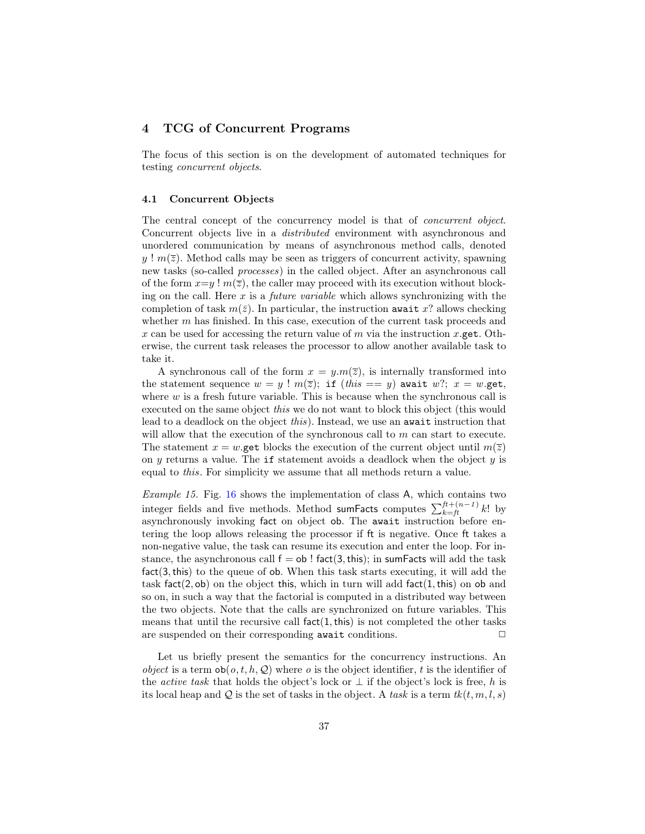# 4 TCG of Concurrent Programs

The focus of this section is on the development of automated techniques for testing concurrent objects.

#### 4.1 Concurrent Objects

The central concept of the concurrency model is that of concurrent object. Concurrent objects live in a distributed environment with asynchronous and unordered communication by means of asynchronous method calls, denoted  $y \, | \, m(\overline{z})$ . Method calls may be seen as triggers of concurrent activity, spawning new tasks (so-called processes) in the called object. After an asynchronous call of the form  $x=y \nvert m(\bar{z})$ , the caller may proceed with its execution without blocking on the call. Here  $x$  is a *future variable* which allows synchronizing with the completion of task  $m(\bar{z})$ . In particular, the instruction await x? allows checking whether m has finished. In this case, execution of the current task proceeds and x can be used for accessing the return value of m via the instruction x.get. Otherwise, the current task releases the processor to allow another available task to take it.

A synchronous call of the form  $x = y.m(\overline{z})$ , is internally transformed into the statement sequence  $w = y \nvert m(\overline{z})$ ; if  $(this == y)$  await  $w$ ?;  $x = w$ .get, where  $w$  is a fresh future variable. This is because when the synchronous call is executed on the same object this we do not want to block this object (this would lead to a deadlock on the object this). Instead, we use an await instruction that will allow that the execution of the synchronous call to  $m$  can start to execute. The statement  $x = w$  get blocks the execution of the current object until  $m(\overline{z})$ on  $y$  returns a value. The if statement avoids a deadlock when the object  $y$  is equal to this. For simplicity we assume that all methods return a value.

<span id="page-36-0"></span>Example 15. Fig. [16](#page-37-0) shows the implementation of class A, which contains two integer fields and five methods. Method sumFacts computes  $\sum_{k=f}^{ft+(n-1)} k!$  by asynchronously invoking fact on object ob. The await instruction before entering the loop allows releasing the processor if ft is negative. Once ft takes a non-negative value, the task can resume its execution and enter the loop. For instance, the asynchronous call  $f = ob$  ! fact(3, this); in sumFacts will add the task fact(3,this) to the queue of ob. When this task starts executing, it will add the task fact $(2, ob)$  on the object this, which in turn will add fact $(1, this)$  on ob and so on, in such a way that the factorial is computed in a distributed way between the two objects. Note that the calls are synchronized on future variables. This means that until the recursive call  $fact(1, this)$  is not completed the other tasks are suspended on their corresponding await conditions.  $\Box$ 

Let us briefly present the semantics for the concurrency instructions. An *object* is a term  $ob(o, t, h, Q)$  where *o* is the object identifier, *t* is the identifier of the *active task* that holds the object's lock or  $\perp$  if the object's lock is free, h is its local heap and Q is the set of tasks in the object. A task is a term  $tk(t, m, l, s)$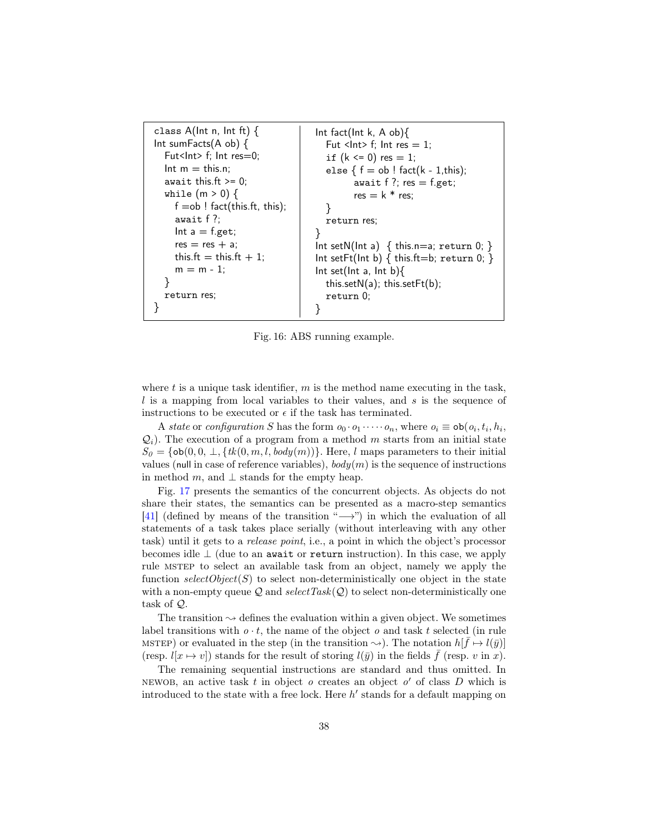```
class A(int n, Int ft) {
Int sumFacts(A ob) {
  Fut<Int> f; Int res=0;
  Int m = this.n;
  await this.ft >= 0;
  while (m > 0) {
    f = ob ! fact(this.ft, this);
     await f ?;
    Int a = f.get;res = res + a;this.ft = this.ft + 1;
     m = m - 1;
  }
  return res;
}
                                      Int fact(Int k, A ob){
                                        Fut <Int> f; Int res = 1;
                                        if (k \le 0) res = 1;
                                        else \{ f = ob | fact(k - 1, this);await f ?; res = f.get;
                                               res = k * res;}
                                        return res;
                                      }
                                      Int setN(Int a) \{ this.n=a; return 0; \}Int setFt(Int b) { this.ft=b; return 0; }
                                      Int set(Int a, Int b){
                                        this.setN(a); this.setFt(b);
                                        return 0;
                                      }
```
Fig. 16: ABS running example.

where t is a unique task identifier,  $m$  is the method name executing in the task,  $l$  is a mapping from local variables to their values, and  $s$  is the sequence of instructions to be executed or  $\epsilon$  if the task has terminated.

A state or configuration S has the form  $o_0 \cdot o_1 \cdot \cdot \cdot \cdot o_n$ , where  $o_i \equiv \text{ob}(o_i, t_i, h_i)$ ,  $\mathcal{Q}_i$ ). The execution of a program from a method m starts from an initial state  $S_0 = \{ob(0, 0, \perp, \{tk(0, m, l, body(m))\}\)$ . Here, l maps parameters to their initial values (null in case of reference variables),  $body(m)$  is the sequence of instructions in method m, and  $\perp$  stands for the empty heap.

Fig. [17](#page-38-0) presents the semantics of the concurrent objects. As objects do not share their states, the semantics can be presented as a macro-step semantics [\[41\]](#page-46-5) (defined by means of the transition " $\rightarrow$ ") in which the evaluation of all statements of a task takes place serially (without interleaving with any other task) until it gets to a release point, i.e., a point in which the object's processor becomes idle ⊥ (due to an await or return instruction). In this case, we apply rule MSTEP to select an available task from an object, namely we apply the function  $selectObject(S)$  to select non-deterministically one object in the state with a non-empty queue  $\mathcal{Q}$  and select Task( $\mathcal{Q}$ ) to select non-deterministically one task of Q.

The transition  $\sim$  defines the evaluation within a given object. We sometimes label transitions with  $o \cdot t$ , the name of the object  $o$  and task  $t$  selected (in rule MSTEP) or evaluated in the step (in the transition  $\rightarrow$ ). The notation  $h[\bar{f} \mapsto l(\bar{y})]$ (resp.  $l[x \mapsto v]$ ) stands for the result of storing  $l(\bar{y})$  in the fields f (resp. v in x).

The remaining sequential instructions are standard and thus omitted. In NEWOB, an active task t in object  $o$  creates an object  $o'$  of class  $D$  which is introduced to the state with a free lock. Here  $h'$  stands for a default mapping on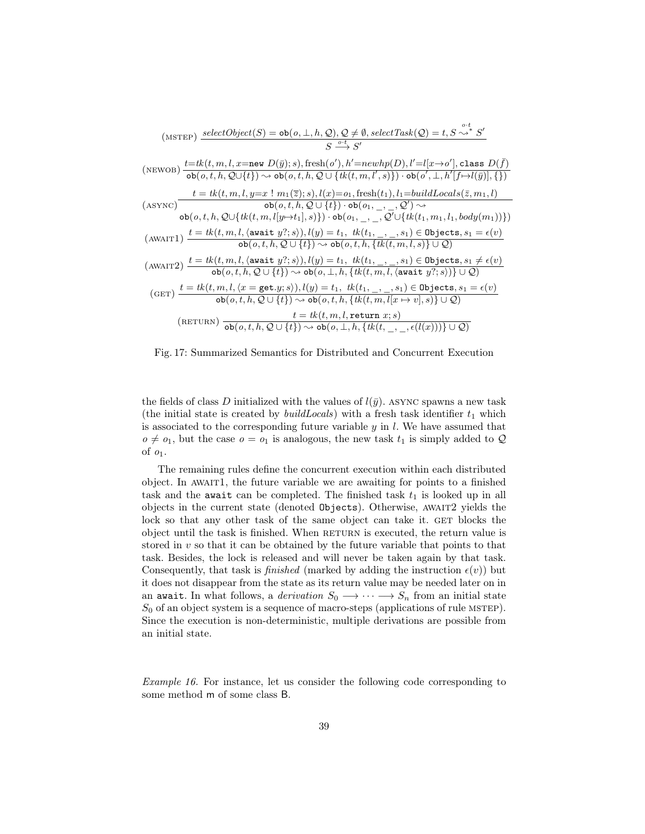<span id="page-38-0"></span>

| (MSTEP) $\frac{selectObject(S) = ob(o, \perp, h, Q), Q \neq \emptyset, selectTask(Q) = t, S \stackrel{o \cdot t}{\leadsto} S' }{S \stackrel{o \cdot t}{\leadsto} S'}$                                                                                                                                                                                                                            |
|--------------------------------------------------------------------------------------------------------------------------------------------------------------------------------------------------------------------------------------------------------------------------------------------------------------------------------------------------------------------------------------------------|
|                                                                                                                                                                                                                                                                                                                                                                                                  |
| $(\textsc{newob})\ \frac{t\!=\!tk(t,m,l,x\!=\!\mathtt{new}\ D(\bar{y});s),\text{fresh}(o'),h'\!=\!\!newhp(D),l'\!=\!l[x\!\rightarrow\!o'],\text{class}\ D(\bar{f})}{\texttt{ob}(o,t,h,\mathcal{Q}\cup\{t\})\sim\texttt{ob}(o,t,h,\mathcal{Q}\cup\{tk(t,m,l',s)\})\cdot\texttt{ob}(o',\perp,h'[\bar{f}\mapsto l(\bar{y})],\{\})}$                                                                 |
| $t = tk(t, m, l, y=x \mid m_1(\overline{z}); s), l(x)=o_1, \text{ fresh}(t_1), l_1 = buildLocals(\overline{z}, m_1, l)$                                                                                                                                                                                                                                                                          |
| $\mathsf{ob}(o,t,h,\mathcal{Q}\cup\{t\})\cdot\mathsf{ob}(o_1,\phantom{a},\phantom{a},\mathcal{Q}')\mathbin{\sim\!\!\!\sim}$<br>(ASYNC)<br>$ob(o, t, h, \mathcal{Q} \cup \{tk(t, m, l[y \mapsto t_1], s)\}) \cdot ob(o_1, \ldots, \mathcal{Q}' \cup \{tk(t_1, m_1, l_1, body(m_1))\})$                                                                                                            |
| $(\text{AWAIT1}) \frac{t = tk(t, m, l, \langle \text{await } y?; s \rangle), l(y) = t_1, tk(t_1, \_, s_1) \in \text{Objects}, s_1 = \epsilon(v)}{\text{ob}(o, t, h, Q \cup \{t\}) \leadsto \text{ob}(o, t, h, \{tk(t, m, l, s)\} \cup Q)}$                                                                                                                                                       |
| $\label{eq:1} \begin{array}{c} \text{(AWAIT2)} \; \frac{t = \mathit{tk}(t, m, l, \langle \texttt{await } y?; s \rangle), l(y) = t_1, \; \mathit{tk}(t_1, \_,\_,s_1) \in \texttt{Objects}, s_1 \neq \epsilon(v)}{ \texttt{ob}(o, t, h, \mathcal{Q} \cup \{t\}) \leadsto \texttt{ob}(o, \bot, h, \{ \mathit{tk}(t, m, l, \langle \texttt{await } y?; s \rangle) \} \cup \mathcal{Q})} \end{array}$ |
| $(\textsc{get})~\frac{t = \mathit{tk}(t, m, l, \langle x = \texttt{get}.y; s \rangle), l(y) = t_1,~\mathit{tk}(t_1, \_,\_, s_1) \in \texttt{Objects}, s_1 = \epsilon(v)}{\texttt{ob}(o, t, h, \mathcal{Q} \cup \{t\}) \leadsto \texttt{ob}(o, t, h, \{tk(t, m, l[x \mapsto v], s)\} \cup \mathcal{Q})}$                                                                                          |
| $(\textsc{retvenv}) \; \frac{t = tk(t, m, l, \texttt{return } x; s)}{\text{ob}(o, t, h, \mathcal{Q} \cup \{t\}) \sim \text{ob}(o, \bot, h, \{tk(t, \_,\_, \epsilon(l(x)))\} \cup \mathcal{Q})}$                                                                                                                                                                                                  |

Fig. 17: Summarized Semantics for Distributed and Concurrent Execution

the fields of class D initialized with the values of  $l(\bar{y})$ . ASYNC spawns a new task (the initial state is created by *buildLocals*) with a fresh task identifier  $t_1$  which is associated to the corresponding future variable  $y$  in  $l$ . We have assumed that  $o \neq o_1$ , but the case  $o = o_1$  is analogous, the new task  $t_1$  is simply added to Q of  $o_1$ .

The remaining rules define the concurrent execution within each distributed object. In AWAIT1, the future variable we are awaiting for points to a finished task and the await can be completed. The finished task  $t_1$  is looked up in all objects in the current state (denoted Objects). Otherwise, await2 yields the lock so that any other task of the same object can take it. GET blocks the object until the task is finished. When return is executed, the return value is stored in  $v$  so that it can be obtained by the future variable that points to that task. Besides, the lock is released and will never be taken again by that task. Consequently, that task is *finished* (marked by adding the instruction  $\epsilon(v)$ ) but it does not disappear from the state as its return value may be needed later on in an await. In what follows, a *derivation*  $S_0 \longrightarrow \cdots \longrightarrow S_n$  from an initial state  $S_0$  of an object system is a sequence of macro-steps (applications of rule MSTEP). Since the execution is non-deterministic, multiple derivations are possible from an initial state.

<span id="page-38-1"></span>Example 16. For instance, let us consider the following code corresponding to some method m of some class B.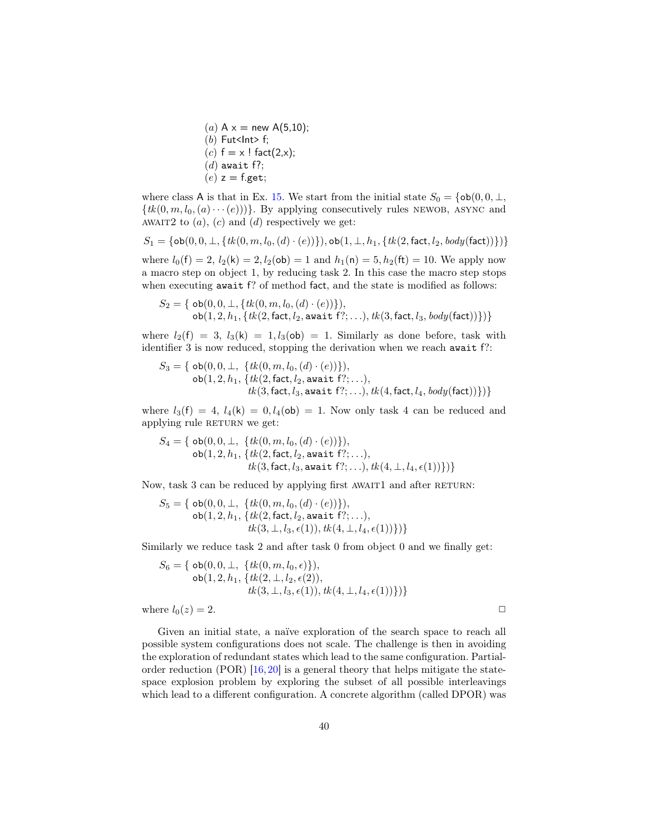(a)  $A \times =$  new A(5,10);  $(b)$  Fut<lnt> f; (c)  $f = x$  ! fact(2,x);  $(d)$  await f?;  $(e)$  z = f.get;

where class A is that in Ex. [15.](#page-36-0) We start from the initial state  $S_0 = \{ob(0, 0, \perp, \perp)\}$  $\{tk(0, m, l_0, (a) \cdots (e)))\}$ . By applying consecutively rules NEWOB, ASYNC and AWAIT2 to  $(a)$ ,  $(c)$  and  $(d)$  respectively we get:

$$
S_1 = \{ob(0, 0, \perp, \{tk(0, m, l_0, (d) \cdot (e))\}), ob(1, \perp, h_1, \{tk(2, \text{fact}, l_2, body(\text{fact}))\})\}
$$

where  $l_0(f) = 2$ ,  $l_2(k) = 2$ ,  $l_2(obj) = 1$  and  $h_1(n) = 5$ ,  $h_2(ft) = 10$ . We apply now a macro step on object 1, by reducing task 2. In this case the macro step stops when executing await f? of method fact, and the state is modified as follows:

$$
S_2 = \{ \text{ ob}(0, 0, \perp, \{tk(0, m, l_0, (d) \cdot (e))\}), \\ \text{ob}(1, 2, h_1, \{tk(2, \text{fact}, l_2, \text{await } f?; \ldots), tk(3, \text{fact}, l_3, body(\text{fact}))\}) \}
$$

where  $l_2(f) = 3$ ,  $l_3(k) = 1$ ,  $l_3(obj) = 1$ . Similarly as done before, task with identifier 3 is now reduced, stopping the derivation when we reach await f?:

$$
S_3 = \{ ob(0, 0, \perp, \{tk(0, m, l_0, (d) \cdot (e))\}),\newline ob(1, 2, h_1, \{tk(2, \text{fact}, l_2, \text{await } f?; \ldots),\newline tk(3, \text{fact}, l_3, \text{await } f?; \ldots), tk(4, \text{fact}, l_4, body(\text{fact}))\})\}
$$

where  $l_3(f) = 4$ ,  $l_4(k) = 0$ ,  $l_4(obj) = 1$ . Now only task 4 can be reduced and applying rule RETURN we get:

$$
S_4 = \{ \text{ ob}(0, 0, \perp, \{tk(0, m, l_0, (d) \cdot (e))\}), \\ \text{ob}(1, 2, h_1, \{tk(2, \text{fact}, l_2, \text{await f}?; \ldots), \\ \text{tk}(3, \text{fact}, l_3, \text{ await f}?; \ldots), tk(4, \perp, l_4, \epsilon(1))\}) \}
$$

Now, task 3 can be reduced by applying first AWAIT1 and after RETURN:

$$
S_5 = \{ \text{ ob}(0, 0, \perp, \{tk(0, m, l_0, (d) \cdot (e))\}), \\ \text{ob}(1, 2, h_1, \{tk(2, \text{fact}, l_2, \text{await } f?; \ldots), \\ \text{tk}(3, \perp, l_3, \epsilon(1)), tk(4, \perp, l_4, \epsilon(1))\}) \}
$$

Similarly we reduce task 2 and after task 0 from object 0 and we finally get:

$$
S_6 = \{ \begin{array}{c} \text{ob}(0, 0, \perp, \{tk(0, m, l_0, \epsilon)\}), \\ \text{ob}(1, 2, h_1, \{tk(2, \perp, l_2, \epsilon(2)), \\ tk(3, \perp, l_3, \epsilon(1)), tk(4, \perp, l_4, \epsilon(1))\}) \} \end{array}
$$

where  $l_0(z) = 2$ .

Given an initial state, a naïve exploration of the search space to reach all possible system configurations does not scale. The challenge is then in avoiding the exploration of redundant states which lead to the same configuration. Partialorder reduction (POR)  $[16, 20]$  $[16, 20]$  $[16, 20]$  is a general theory that helps mitigate the statespace explosion problem by exploring the subset of all possible interleavings which lead to a different configuration. A concrete algorithm (called DPOR) was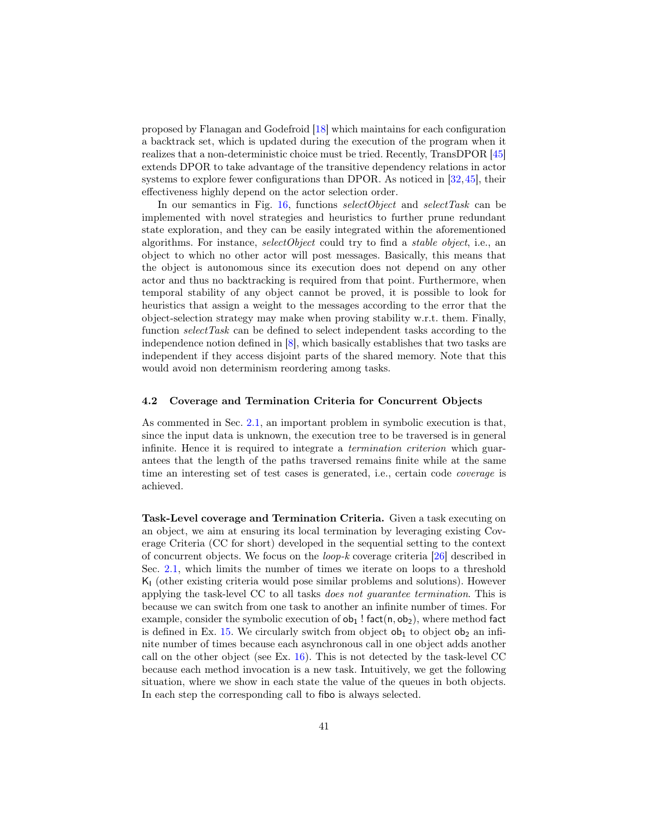proposed by Flanagan and Godefroid [\[18\]](#page-45-17) which maintains for each configuration a backtrack set, which is updated during the execution of the program when it realizes that a non-deterministic choice must be tried. Recently, TransDPOR [\[45\]](#page-46-4) extends DPOR to take advantage of the transitive dependency relations in actor systems to explore fewer configurations than DPOR. As noticed in [\[32,](#page-45-18)[45\]](#page-46-4), their effectiveness highly depend on the actor selection order.

In our semantics in Fig. [16,](#page-37-0) functions selectObject and selectTask can be implemented with novel strategies and heuristics to further prune redundant state exploration, and they can be easily integrated within the aforementioned algorithms. For instance, selectObject could try to find a stable object, i.e., an object to which no other actor will post messages. Basically, this means that the object is autonomous since its execution does not depend on any other actor and thus no backtracking is required from that point. Furthermore, when temporal stability of any object cannot be proved, it is possible to look for heuristics that assign a weight to the messages according to the error that the object-selection strategy may make when proving stability w.r.t. them. Finally, function select Task can be defined to select independent tasks according to the independence notion defined in [\[8\]](#page-44-10), which basically establishes that two tasks are independent if they access disjoint parts of the shared memory. Note that this would avoid non determinism reordering among tasks.

#### <span id="page-40-0"></span>4.2 Coverage and Termination Criteria for Concurrent Objects

As commented in Sec. [2.1,](#page-2-0) an important problem in symbolic execution is that, since the input data is unknown, the execution tree to be traversed is in general infinite. Hence it is required to integrate a *termination criterion* which guarantees that the length of the paths traversed remains finite while at the same time an interesting set of test cases is generated, i.e., certain code coverage is achieved.

Task-Level coverage and Termination Criteria. Given a task executing on an object, we aim at ensuring its local termination by leveraging existing Coverage Criteria (CC for short) developed in the sequential setting to the context of concurrent objects. We focus on the loop-k coverage criteria [\[26\]](#page-45-19) described in Sec. [2.1,](#page-2-0) which limits the number of times we iterate on loops to a threshold  $K<sub>l</sub>$  (other existing criteria would pose similar problems and solutions). However applying the task-level CC to all tasks does not guarantee termination. This is because we can switch from one task to another an infinite number of times. For example, consider the symbolic execution of  $ob<sub>1</sub>$ ! fact(n,  $ob<sub>2</sub>$ ), where method fact is defined in Ex. [15.](#page-36-0) We circularly switch from object  $ob<sub>1</sub>$  to object  $ob<sub>2</sub>$  an infinite number of times because each asynchronous call in one object adds another call on the other object (see Ex.  $16$ ). This is not detected by the task-level CC because each method invocation is a new task. Intuitively, we get the following situation, where we show in each state the value of the queues in both objects. In each step the corresponding call to fibo is always selected.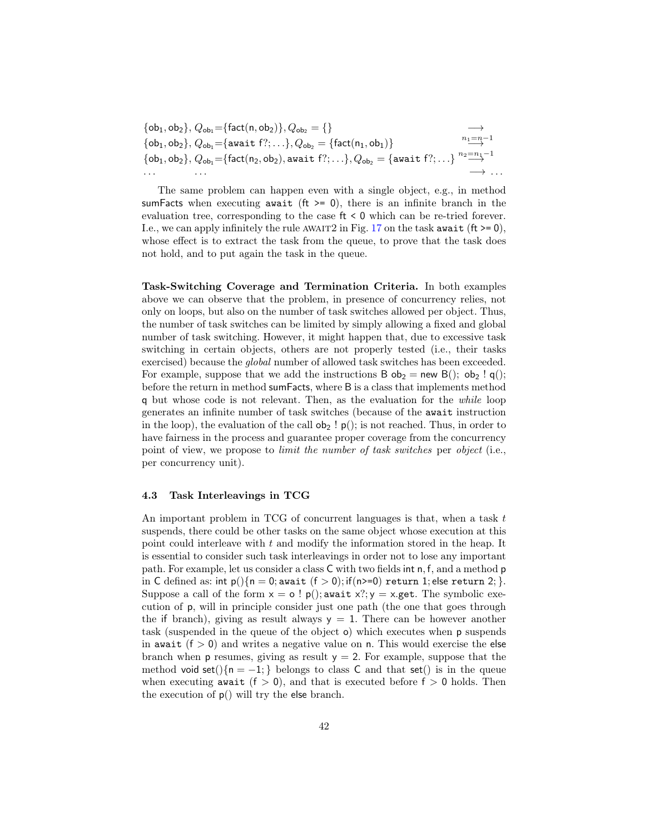$\{ob_1, ob_2\}, Q_{ob_1} = \{fact(n, ob_2)\}, Q_{ob_2} = \{\}$  $\{ob_1, ob_2\}, Q_{ob_1} = \{$ await f?; ...},  $Q_{ob_2} = \{fact(n_1, ob_1)\}$  $\stackrel{n_1=n-1}{\longrightarrow}$  $\{\textsf{ob}_1, \textsf{ob}_2\},$   $Q_{\textsf{ob}_1}$ = $\{\textsf{fact}(\textsf{n}_2, \textsf{ob}_2),$  await  $\textsf{f}?; \ldots\},$   $Q_{\textsf{ob}_2} = \{\textsf{await f}?; \ldots\}$   $\overset{n_2=n_1-1}{\longrightarrow}$ . . . . . . −→ . . .

The same problem can happen even with a single object, e.g., in method sumFacts when executing await (ft  $>= 0$ ), there is an infinite branch in the evaluation tree, corresponding to the case  $ft < 0$  which can be re-tried forever. I.e., we can apply infinitely the rule AWAIT2 in Fig. [17](#page-38-0) on the task await (ft  $>= 0$ ), whose effect is to extract the task from the queue, to prove that the task does not hold, and to put again the task in the queue.

Task-Switching Coverage and Termination Criteria. In both examples above we can observe that the problem, in presence of concurrency relies, not only on loops, but also on the number of task switches allowed per object. Thus, the number of task switches can be limited by simply allowing a fixed and global number of task switching. However, it might happen that, due to excessive task switching in certain objects, others are not properly tested (i.e., their tasks exercised) because the global number of allowed task switches has been exceeded. For example, suppose that we add the instructions B  $ob_2$  = new B();  $ob_2$  ! q(); before the return in method sumFacts, where B is a class that implements method q but whose code is not relevant. Then, as the evaluation for the while loop generates an infinite number of task switches (because of the await instruction in the loop), the evaluation of the call  $ob_2$ !  $p()$ ; is not reached. Thus, in order to have fairness in the process and guarantee proper coverage from the concurrency point of view, we propose to *limit the number of task switches* per *object* (i.e., per concurrency unit).

#### 4.3 Task Interleavings in TCG

An important problem in TCG of concurrent languages is that, when a task  $t$ suspends, there could be other tasks on the same object whose execution at this point could interleave with  $t$  and modify the information stored in the heap. It is essential to consider such task interleavings in order not to lose any important path. For example, let us consider a class C with two fields int n, f, and a method p in C defined as: int  $p()$  { $n = 0$ ; await  $(f > 0)$ ; if( $n>=0$ ) return 1; else return 2; }. Suppose a call of the form  $x = o! p($ ; await  $x?$ ;  $y = x.get$ . The symbolic execution of p, will in principle consider just one path (the one that goes through the if branch), giving as result always  $y = 1$ . There can be however another task (suspended in the queue of the object o) which executes when p suspends in await  $(f > 0)$  and writes a negative value on n. This would exercise the else branch when  $p$  resumes, giving as result  $y = 2$ . For example, suppose that the method void set(){ $n = -1$ ; } belongs to class C and that set() is in the queue when executing await  $(f > 0)$ , and that is executed before  $f > 0$  holds. Then the execution of p() will try the else branch.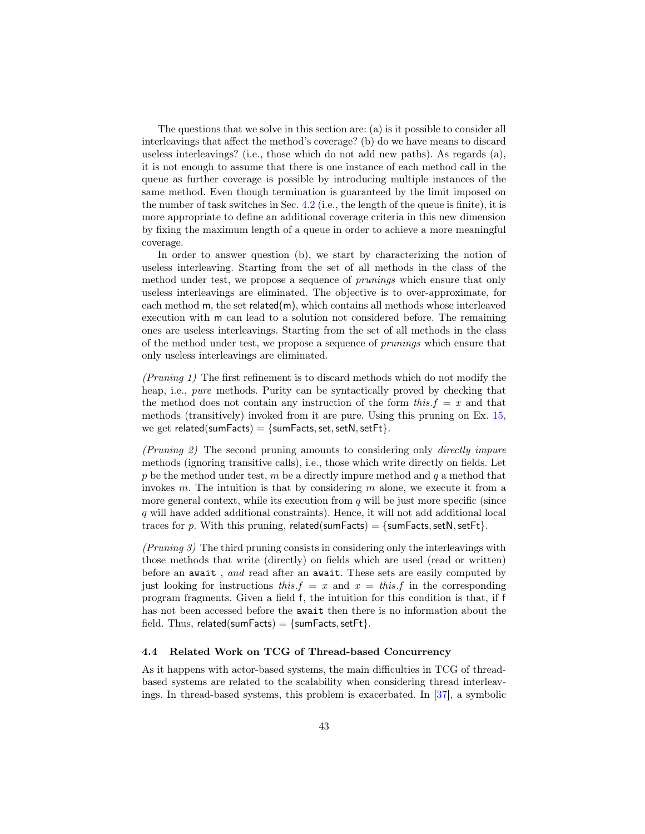The questions that we solve in this section are: (a) is it possible to consider all interleavings that affect the method's coverage? (b) do we have means to discard useless interleavings? (i.e., those which do not add new paths). As regards (a), it is not enough to assume that there is one instance of each method call in the queue as further coverage is possible by introducing multiple instances of the same method. Even though termination is guaranteed by the limit imposed on the number of task switches in Sec. [4.2](#page-40-0) (i.e., the length of the queue is finite), it is more appropriate to define an additional coverage criteria in this new dimension by fixing the maximum length of a queue in order to achieve a more meaningful coverage.

In order to answer question (b), we start by characterizing the notion of useless interleaving. Starting from the set of all methods in the class of the method under test, we propose a sequence of *prunings* which ensure that only useless interleavings are eliminated. The objective is to over-approximate, for each method m, the set related(m), which contains all methods whose interleaved execution with m can lead to a solution not considered before. The remaining ones are useless interleavings. Starting from the set of all methods in the class of the method under test, we propose a sequence of prunings which ensure that only useless interleavings are eliminated.

(Pruning 1) The first refinement is to discard methods which do not modify the heap, i.e., *pure* methods. Purity can be syntactically proved by checking that the method does not contain any instruction of the form this.  $f = x$  and that methods (transitively) invoked from it are pure. Using this pruning on Ex. [15,](#page-36-0) we get related(sumFacts) =  $\{sumFacts, set, setN, setFt\}.$ 

(Pruning 2) The second pruning amounts to considering only directly impure methods (ignoring transitive calls), i.e., those which write directly on fields. Let  $p$  be the method under test,  $m$  be a directly impure method and  $q$  a method that invokes  $m$ . The intuition is that by considering  $m$  alone, we execute it from a more general context, while its execution from  $q$  will be just more specific (since q will have added additional constraints). Hence, it will not add additional local traces for p. With this pruning, related(sumFacts) = {sumFacts, setN, setFt}.

 $(Pruning 3)$  The third pruning consists in considering only the interleavings with those methods that write (directly) on fields which are used (read or written) before an await , and read after an await. These sets are easily computed by just looking for instructions this.  $f = x$  and  $x = this$  in the corresponding program fragments. Given a field f, the intuition for this condition is that, if f has not been accessed before the await then there is no information about the field. Thus, related(sumFacts) =  $\{sumFack, setFt\}.$ 

#### 4.4 Related Work on TCG of Thread-based Concurrency

As it happens with actor-based systems, the main difficulties in TCG of threadbased systems are related to the scalability when considering thread interleavings. In thread-based systems, this problem is exacerbated. In [\[37\]](#page-46-13), a symbolic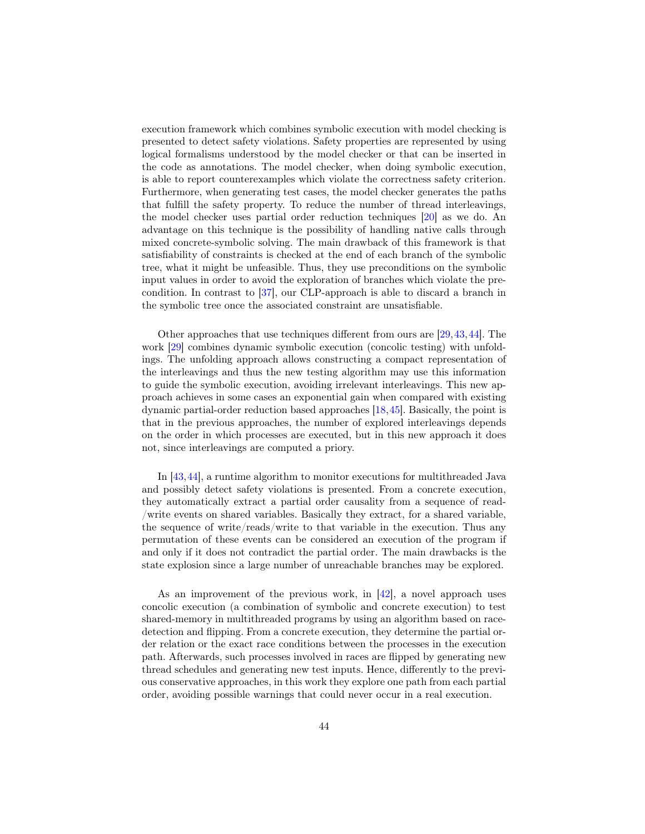execution framework which combines symbolic execution with model checking is presented to detect safety violations. Safety properties are represented by using logical formalisms understood by the model checker or that can be inserted in the code as annotations. The model checker, when doing symbolic execution, is able to report counterexamples which violate the correctness safety criterion. Furthermore, when generating test cases, the model checker generates the paths that fulfill the safety property. To reduce the number of thread interleavings, the model checker uses partial order reduction techniques [\[20\]](#page-45-16) as we do. An advantage on this technique is the possibility of handling native calls through mixed concrete-symbolic solving. The main drawback of this framework is that satisfiability of constraints is checked at the end of each branch of the symbolic tree, what it might be unfeasible. Thus, they use preconditions on the symbolic input values in order to avoid the exploration of branches which violate the precondition. In contrast to [\[37\]](#page-46-13), our CLP-approach is able to discard a branch in the symbolic tree once the associated constraint are unsatisfiable.

Other approaches that use techniques different from ours are [\[29,](#page-45-20)[43,](#page-46-14)[44\]](#page-46-15). The work [\[29\]](#page-45-20) combines dynamic symbolic execution (concolic testing) with unfoldings. The unfolding approach allows constructing a compact representation of the interleavings and thus the new testing algorithm may use this information to guide the symbolic execution, avoiding irrelevant interleavings. This new approach achieves in some cases an exponential gain when compared with existing dynamic partial-order reduction based approaches [\[18,](#page-45-17)[45\]](#page-46-4). Basically, the point is that in the previous approaches, the number of explored interleavings depends on the order in which processes are executed, but in this new approach it does not, since interleavings are computed a priory.

In [\[43,](#page-46-14)[44\]](#page-46-15), a runtime algorithm to monitor executions for multithreaded Java and possibly detect safety violations is presented. From a concrete execution, they automatically extract a partial order causality from a sequence of read- /write events on shared variables. Basically they extract, for a shared variable, the sequence of write/reads/write to that variable in the execution. Thus any permutation of these events can be considered an execution of the program if and only if it does not contradict the partial order. The main drawbacks is the state explosion since a large number of unreachable branches may be explored.

As an improvement of the previous work, in [\[42\]](#page-46-16), a novel approach uses concolic execution (a combination of symbolic and concrete execution) to test shared-memory in multithreaded programs by using an algorithm based on racedetection and flipping. From a concrete execution, they determine the partial order relation or the exact race conditions between the processes in the execution path. Afterwards, such processes involved in races are flipped by generating new thread schedules and generating new test inputs. Hence, differently to the previous conservative approaches, in this work they explore one path from each partial order, avoiding possible warnings that could never occur in a real execution.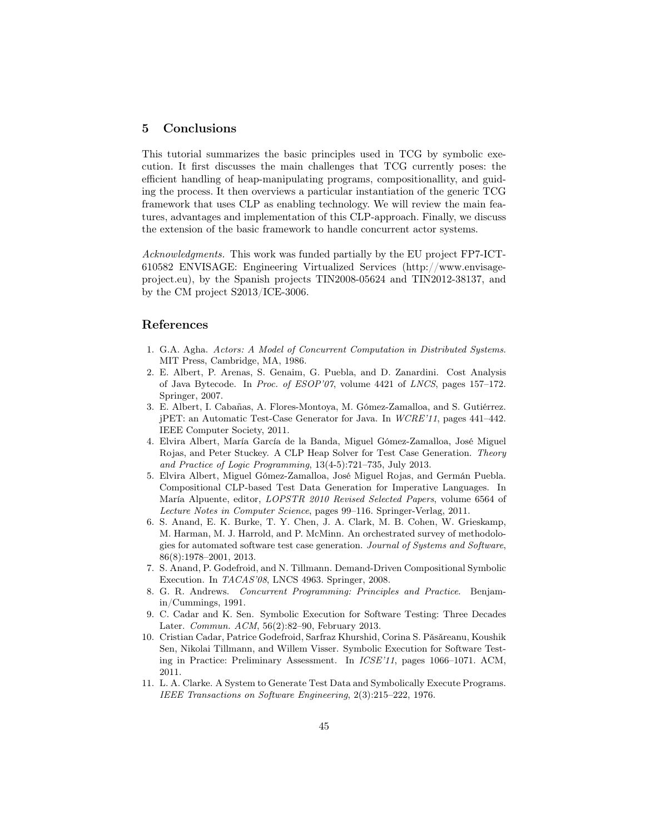## 5 Conclusions

This tutorial summarizes the basic principles used in TCG by symbolic execution. It first discusses the main challenges that TCG currently poses: the efficient handling of heap-manipulating programs, compositionallity, and guiding the process. It then overviews a particular instantiation of the generic TCG framework that uses CLP as enabling technology. We will review the main features, advantages and implementation of this CLP-approach. Finally, we discuss the extension of the basic framework to handle concurrent actor systems.

Acknowledgments. This work was funded partially by the EU project FP7-ICT-610582 ENVISAGE: Engineering Virtualized Services (http://www.envisageproject.eu), by the Spanish projects TIN2008-05624 and TIN2012-38137, and by the CM project S2013/ICE-3006.

## References

- <span id="page-44-4"></span>1. G.A. Agha. Actors: A Model of Concurrent Computation in Distributed Systems. MIT Press, Cambridge, MA, 1986.
- <span id="page-44-8"></span>2. E. Albert, P. Arenas, S. Genaim, G. Puebla, and D. Zanardini. Cost Analysis of Java Bytecode. In Proc. of ESOP'07, volume 4421 of LNCS, pages 157–172. Springer, 2007.
- <span id="page-44-9"></span>3. E. Albert, I. Cabañas, A. Flores-Montoya, M. Gómez-Zamalloa, and S. Gutiérrez. jPET: an Automatic Test-Case Generator for Java. In WCRE'11, pages 441–442. IEEE Computer Society, 2011.
- <span id="page-44-5"></span>4. Elvira Albert, María García de la Banda, Miguel Gómez-Zamalloa, José Miguel Rojas, and Peter Stuckey. A CLP Heap Solver for Test Case Generation. Theory and Practice of Logic Programming, 13(4-5):721–735, July 2013.
- <span id="page-44-6"></span>5. Elvira Albert, Miguel Gómez-Zamalloa, José Miguel Rojas, and Germán Puebla. Compositional CLP-based Test Data Generation for Imperative Languages. In María Alpuente, editor, LOPSTR 2010 Revised Selected Papers, volume 6564 of Lecture Notes in Computer Science, pages 99–116. Springer-Verlag, 2011.
- <span id="page-44-0"></span>6. S. Anand, E. K. Burke, T. Y. Chen, J. A. Clark, M. B. Cohen, W. Grieskamp, M. Harman, M. J. Harrold, and P. McMinn. An orchestrated survey of methodologies for automated software test case generation. Journal of Systems and Software, 86(8):1978–2001, 2013.
- <span id="page-44-7"></span>7. S. Anand, P. Godefroid, and N. Tillmann. Demand-Driven Compositional Symbolic Execution. In TACAS'08, LNCS 4963. Springer, 2008.
- <span id="page-44-10"></span>8. G. R. Andrews. Concurrent Programming: Principles and Practice. Benjamin/Cummings, 1991.
- <span id="page-44-2"></span>9. C. Cadar and K. Sen. Symbolic Execution for Software Testing: Three Decades Later. Commun. ACM, 56(2):82–90, February 2013.
- <span id="page-44-3"></span>10. Cristian Cadar, Patrice Godefroid, Sarfraz Khurshid, Corina S. Păsăreanu, Koushik Sen, Nikolai Tillmann, and Willem Visser. Symbolic Execution for Software Testing in Practice: Preliminary Assessment. In ICSE'11, pages 1066–1071. ACM, 2011.
- <span id="page-44-1"></span>11. L. A. Clarke. A System to Generate Test Data and Symbolically Execute Programs. IEEE Transactions on Software Engineering, 2(3):215–222, 1976.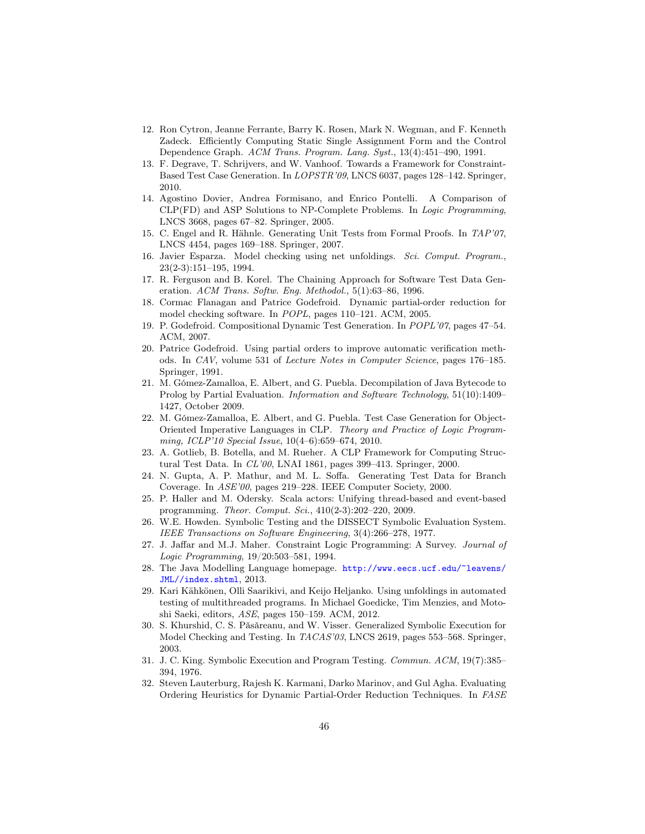- <span id="page-45-12"></span>12. Ron Cytron, Jeanne Ferrante, Barry K. Rosen, Mark N. Wegman, and F. Kenneth Zadeck. Efficiently Computing Static Single Assignment Form and the Control Dependence Graph. ACM Trans. Program. Lang. Syst., 13(4):451–490, 1991.
- <span id="page-45-2"></span>13. F. Degrave, T. Schrijvers, and W. Vanhoof. Towards a Framework for Constraint-Based Test Case Generation. In LOPSTR'09, LNCS 6037, pages 128–142. Springer, 2010.
- <span id="page-45-10"></span>14. Agostino Dovier, Andrea Formisano, and Enrico Pontelli. A Comparison of CLP(FD) and ASP Solutions to NP-Complete Problems. In Logic Programming, LNCS 3668, pages 67–82. Springer, 2005.
- <span id="page-45-3"></span>15. C. Engel and R. Hähnle. Generating Unit Tests from Formal Proofs. In TAP'07, LNCS 4454, pages 169–188. Springer, 2007.
- <span id="page-45-15"></span>16. Javier Esparza. Model checking using net unfoldings. Sci. Comput. Program., 23(2-3):151–195, 1994.
- <span id="page-45-0"></span>17. R. Ferguson and B. Korel. The Chaining Approach for Software Test Data Generation. ACM Trans. Softw. Eng. Methodol., 5(1):63–86, 1996.
- <span id="page-45-17"></span>18. Cormac Flanagan and Patrice Godefroid. Dynamic partial-order reduction for model checking software. In POPL, pages 110–121. ACM, 2005.
- <span id="page-45-8"></span>19. P. Godefroid. Compositional Dynamic Test Generation. In POPL'07, pages 47–54. ACM, 2007.
- <span id="page-45-16"></span>20. Patrice Godefroid. Using partial orders to improve automatic verification methods. In CAV, volume 531 of Lecture Notes in Computer Science, pages 176–185. Springer, 1991.
- <span id="page-45-11"></span>21. M. Gómez-Zamalloa, E. Albert, and G. Puebla. Decompilation of Java Bytecode to Prolog by Partial Evaluation. Information and Software Technology, 51(10):1409– 1427, October 2009.
- <span id="page-45-13"></span>22. M. Gómez-Zamalloa, E. Albert, and G. Puebla. Test Case Generation for Object-Oriented Imperative Languages in CLP. Theory and Practice of Logic Programming, ICLP'10 Special Issue, 10(4–6):659–674, 2010.
- <span id="page-45-4"></span>23. A. Gotlieb, B. Botella, and M. Rueher. A CLP Framework for Computing Structural Test Data. In CL'00, LNAI 1861, pages 399–413. Springer, 2000.
- <span id="page-45-1"></span>24. N. Gupta, A. P. Mathur, and M. L. Soffa. Generating Test Data for Branch Coverage. In ASE'00, pages 219–228. IEEE Computer Society, 2000.
- <span id="page-45-6"></span>25. P. Haller and M. Odersky. Scala actors: Unifying thread-based and event-based programming. Theor. Comput. Sci., 410(2-3):202–220, 2009.
- <span id="page-45-19"></span>26. W.E. Howden. Symbolic Testing and the DISSECT Symbolic Evaluation System. IEEE Transactions on Software Engineering, 3(4):266–278, 1977.
- <span id="page-45-9"></span>27. J. Jaffar and M.J. Maher. Constraint Logic Programming: A Survey. Journal of Logic Programming, 19/20:503–581, 1994.
- <span id="page-45-14"></span>28. The Java Modelling Language homepage. [http://www.eecs.ucf.edu/~leavens/](http://www.eecs.ucf.edu/~leavens/JML//index.shtml) [JML//index.shtml](http://www.eecs.ucf.edu/~leavens/JML//index.shtml), 2013.
- <span id="page-45-20"></span>29. Kari Kähkönen, Olli Saarikivi, and Keijo Heljanko. Using unfoldings in automated testing of multithreaded programs. In Michael Goedicke, Tim Menzies, and Motoshi Saeki, editors, ASE, pages 150–159. ACM, 2012.
- <span id="page-45-7"></span>30. S. Khurshid, C. S. Pǎsǎreanu, and W. Visser. Generalized Symbolic Execution for Model Checking and Testing. In TACAS'03, LNCS 2619, pages 553–568. Springer, 2003.
- <span id="page-45-5"></span>31. J. C. King. Symbolic Execution and Program Testing. Commun. ACM, 19(7):385– 394, 1976.
- <span id="page-45-18"></span>32. Steven Lauterburg, Rajesh K. Karmani, Darko Marinov, and Gul Agha. Evaluating Ordering Heuristics for Dynamic Partial-Order Reduction Techniques. In FASE